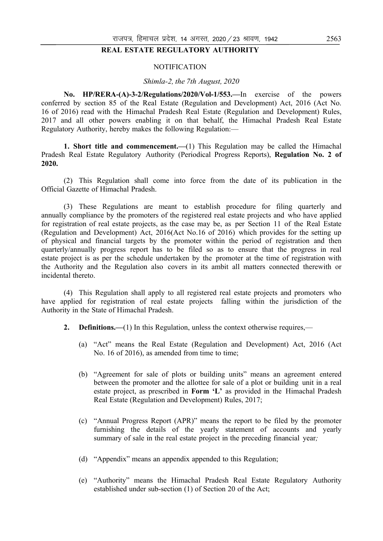# **REAL ESTATE REGULATORY AUTHORITY**

#### **NOTIFICATION**

#### *Shimla-2, the 7th August, 2020*

 **No. HP/RERA-(A)-3-2/Regulations/2020/Vol-1/553.—**In exercise of the powers conferred by section 85 of the Real Estate (Regulation and Development) Act, 2016 (Act No. 16 of 2016) read with the Himachal Pradesh Real Estate (Regulation and Development) Rules, 2017 and all other powers enabling it on that behalf, the Himachal Pradesh Real Estate Regulatory Authority, hereby makes the following Regulation:—

 **1. Short title and commencement.—**(1) This Regulation may be called the Himachal Pradesh Real Estate Regulatory Authority (Periodical Progress Reports), **Regulation No. 2 of 2020.**

 (2) This Regulation shall come into force from the date of its publication in the Official Gazette of Himachal Pradesh.

 (3) These Regulations are meant to establish procedure for filing quarterly and annually compliance by the promoters of the registered real estate projects and who have applied for registration of real estate projects, as the case may be, as per Section 11 of the Real Estate (Regulation and Development) Act, 2016(Act No.16 of 2016) which provides for the setting up of physical and financial targets by the promoter within the period of registration and then quarterly/annually progress report has to be filed so as to ensure that the progress in real estate project is as per the schedule undertaken by the promoter at the time of registration with the Authority and the Regulation also covers in its ambit all matters connected therewith or incidental thereto.

 (4) This Regulation shall apply to all registered real estate projects and promoters who have applied for registration of real estate projects falling within the jurisdiction of the Authority in the State of Himachal Pradesh.

- **2. Definitions.—(1)** In this Regulation, unless the context otherwise requires.—
	- (a) "Act" means the Real Estate (Regulation and Development) Act, 2016 (Act No. 16 of 2016), as amended from time to time;
	- (b) "Agreement for sale of plots or building units" means an agreement entered between the promoter and the allottee for sale of a plot or building unit in a real estate project, as prescribed in **Form 'L'** as provided in the Himachal Pradesh Real Estate (Regulation and Development) Rules, 2017;
	- (c) "Annual Progress Report (APR)" means the report to be filed by the promoter furnishing the details of the yearly statement of accounts and yearly summary of sale in the real estate project in the preceding financial year*;*
	- (d) "Appendix" means an appendix appended to this Regulation;
	- (e) "Authority" means the Himachal Pradesh Real Estate Regulatory Authority established under sub-section (1) of Section 20 of the Act;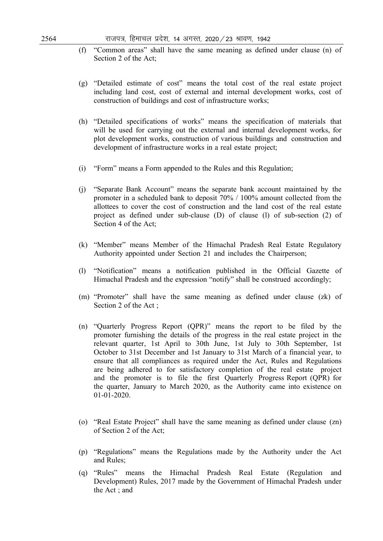- (f) "Common areas" shall have the same meaning as defined under clause (n) of Section 2 of the Act;
- (g) "Detailed estimate of cost" means the total cost of the real estate project including land cost, cost of external and internal development works, cost of construction of buildings and cost of infrastructure works;
- (h) "Detailed specifications of works" means the specification of materials that will be used for carrying out the external and internal development works, for plot development works, construction of various buildings and construction and development of infrastructure works in a real estate project;
- (i) "Form" means a Form appended to the Rules and this Regulation;
- (j) "Separate Bank Account" means the separate bank account maintained by the promoter in a scheduled bank to deposit 70% / 100% amount collected from the allottees to cover the cost of construction and the land cost of the real estate project as defined under sub-clause (D) of clause (l) of sub-section (2) of Section 4 of the Act;
- (k) "Member" means Member of the Himachal Pradesh Real Estate Regulatory Authority appointed under Section 21 and includes the Chairperson;
- (l) "Notification" means a notification published in the Official Gazette of Himachal Pradesh and the expression "notify" shall be construed accordingly;
- (m) "Promoter" shall have the same meaning as defined under clause (zk) of Section 2 of the Act ;
- (n) "Quarterly Progress Report (QPR)" means the report to be filed by the promoter furnishing the details of the progress in the real estate project in the relevant quarter, 1st April to 30th June, 1st July to 30th September, 1st October to 31st December and 1st January to 31st March of a financial year, to ensure that all compliances as required under the Act, Rules and Regulations are being adhered to for satisfactory completion of the real estate project and the promoter is to file the first Quarterly Progress Report (QPR) for the quarter, January to March 2020, as the Authority came into existence on 01-01-2020.
- (o) "Real Estate Project" shall have the same meaning as defined under clause (zn) of Section 2 of the Act;
- (p) "Regulations" means the Regulations made by the Authority under the Act and Rules;
- (q) "Rules" means the Himachal Pradesh Real Estate (Regulation and Development) Rules, 2017 made by the Government of Himachal Pradesh under the Act ; and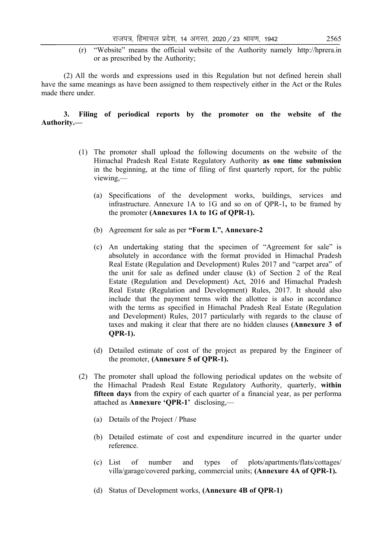(r) "Website" means the official website of the Authority namely http://hprera.in or as prescribed by the Authority;

 (2) All the words and expressions used in this Regulation but not defined herein shall have the same meanings as have been assigned to them respectively either in the Act or the Rules made there under.

#### **3. Filing of periodical reports by the promoter on the website of the Authority.—**

- (1) The promoter shall upload the following documents on the website of the Himachal Pradesh Real Estate Regulatory Authority **as one time submission**  in the beginning, at the time of filing of first quarterly report, for the public viewing,—
	- (a) Specifications of the development works, buildings, services and infrastructure. Annexure 1A to 1G and so on of QPR-1**,** to be framed by the promoter **(Annexures 1A to 1G of QPR-1).**
	- (b) Agreement for sale as per **"Form L", Annexure-2**
	- (c) An undertaking stating that the specimen of "Agreement for sale" is absolutely in accordance with the format provided in Himachal Pradesh Real Estate (Regulation and Development) Rules 2017 and "carpet area" of the unit for sale as defined under clause (k) of Section 2 of the Real Estate (Regulation and Development) Act, 2016 and Himachal Pradesh Real Estate (Regulation and Development) Rules, 2017. It should also include that the payment terms with the allottee is also in accordance with the terms as specified in Himachal Pradesh Real Estate (Regulation and Development) Rules, 2017 particularly with regards to the clause of taxes and making it clear that there are no hidden clauses **(Annexure 3 of QPR-1).**
	- (d) Detailed estimate of cost of the project as prepared by the Engineer of the promoter, **(Annexure 5 of QPR-1).**
- (2) The promoter shall upload the following periodical updates on the website of the Himachal Pradesh Real Estate Regulatory Authority, quarterly, **within fifteen days** from the expiry of each quarter of a financial year, as per performa attached as **Annexure 'QPR-1'** disclosing,—
	- (a) Details of the Project / Phase
	- (b) Detailed estimate of cost and expenditure incurred in the quarter under reference.
	- (c) List of number and types of plots/apartments/flats/cottages/ villa/garage/covered parking, commercial units; **(Annexure 4A of QPR-1).**
	- (d) Status of Development works, **(Annexure 4B of QPR-1)**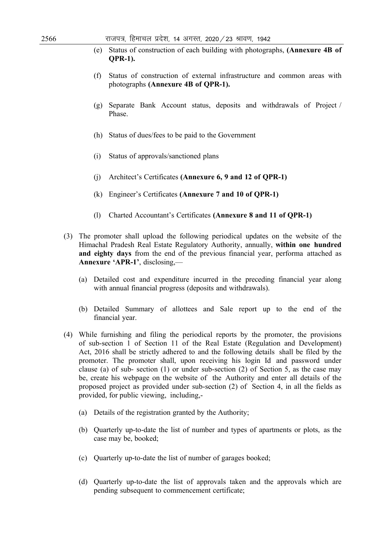- (e) Status of construction of each building with photographs, **(Annexure 4B of QPR-1).**
- (f) Status of construction of external infrastructure and common areas with photographs **(Annexure 4B of QPR-1).**
- (g) Separate Bank Account status, deposits and withdrawals of Project / Phase.
- (h) Status of dues/fees to be paid to the Government
- (i) Status of approvals/sanctioned plans
- (j) Architect's Certificates **(Annexure 6, 9 and 12 of QPR-1)**
- (k) Engineer's Certificates **(Annexure 7 and 10 of QPR-1)**
- (l) Charted Accountant's Certificates **(Annexure 8 and 11 of QPR-1)**
- (3) The promoter shall upload the following periodical updates on the website of the Himachal Pradesh Real Estate Regulatory Authority, annually, **within one hundred and eighty days** from the end of the previous financial year, performa attached as **Annexure 'APR-1'**, disclosing,—
	- (a) Detailed cost and expenditure incurred in the preceding financial year along with annual financial progress (deposits and withdrawals).
	- (b) Detailed Summary of allottees and Sale report up to the end of the financial year.
- (4) While furnishing and filing the periodical reports by the promoter, the provisions of sub-section 1 of Section 11 of the Real Estate (Regulation and Development) Act, 2016 shall be strictly adhered to and the following details shall be filed by the promoter. The promoter shall, upon receiving his login Id and password under clause (a) of sub- section (1) or under sub-section (2) of Section 5, as the case may be, create his webpage on the website of the Authority and enter all details of the proposed project as provided under sub-section (2) of Section 4, in all the fields as provided, for public viewing, including,-
	- (a) Details of the registration granted by the Authority;
	- (b) Quarterly up-to-date the list of number and types of apartments or plots, as the case may be, booked;
	- (c) Quarterly up-to-date the list of number of garages booked;
	- (d) Quarterly up-to-date the list of approvals taken and the approvals which are pending subsequent to commencement certificate;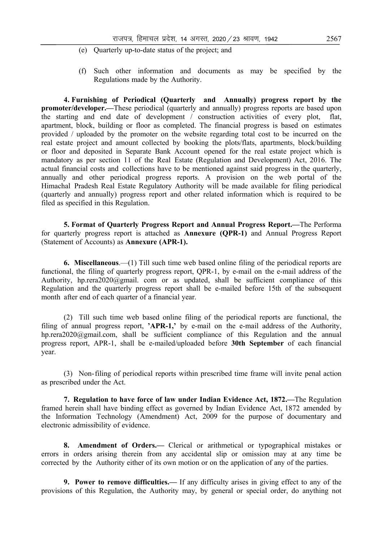- (e) Quarterly up-to-date status of the project; and
- (f) Such other information and documents as may be specified by the Regulations made by the Authority.

 **4. Furnishing of Periodical (Quarterly and Annually) progress report by the promoter/developer.—**These periodical (quarterly and annually) progress reports are based upon the starting and end date of development / construction activities of every plot, flat, apartment, block, building or floor as completed. The financial progress is based on estimates provided / uploaded by the promoter on the website regarding total cost to be incurred on the real estate project and amount collected by booking the plots/flats, apartments, block/building or floor and deposited in Separate Bank Account opened for the real estate project which is mandatory as per section 11 of the Real Estate (Regulation and Development) Act, 2016. The actual financial costs and collections have to be mentioned against said progress in the quarterly, annually and other periodical progress reports. A provision on the web portal of the Himachal Pradesh Real Estate Regulatory Authority will be made available for filing periodical (quarterly and annually) progress report and other related information which is required to be filed as specified in this Regulation.

 **5. Format of Quarterly Progress Report and Annual Progress Report.—**The Performa for quarterly progress report is attached as **Annexure (QPR-1)** and Annual Progress Report (Statement of Accounts) as **Annexure (APR-1).**

 **6. Miscellaneous**.—(1) Till such time web based online filing of the periodical reports are functional, the filing of quarterly progress report, QPR-1, by e-mail on the e-mail address of the Authority, hp.rera2020@gmail. com or as updated, shall be sufficient compliance of this Regulation and the quarterly progress report shall be e-mailed before 15th of the subsequent month after end of each quarter of a financial year.

 (2) Till such time web based online filing of the periodical reports are functional, the filing of annual progress report, **'APR-1,'** by e-mail on the e-mail address of the Authority, hp.rera2020@gmail.com, shall be sufficient compliance of this Regulation and the annual progress report, APR-1, shall be e-mailed/uploaded before **30th September** of each financial year.

 (3) Non-filing of periodical reports within prescribed time frame will invite penal action as prescribed under the Act.

 **7. Regulation to have force of law under Indian Evidence Act, 1872.—**The Regulation framed herein shall have binding effect as governed by Indian Evidence Act, 1872 amended by the Information Technology (Amendment) Act, 2009 for the purpose of documentary and electronic admissibility of evidence.

 **8. Amendment of Orders.—** Clerical or arithmetical or typographical mistakes or errors in orders arising therein from any accidental slip or omission may at any time be corrected by the Authority either of its own motion or on the application of any of the parties.

 **9. Power to remove difficulties.—** If any difficulty arises in giving effect to any of the provisions of this Regulation, the Authority may, by general or special order, do anything not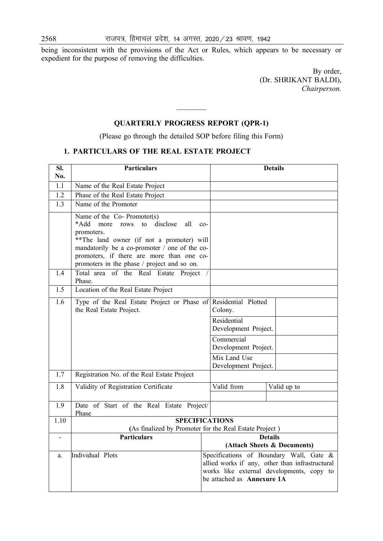being inconsistent with the provisions of the Act or Rules, which appears to be necessary or expedient for the purpose of removing the difficulties.

> By order, (Dr. SHRIKANT BALDI), *Chairperson.*

# **QUARTERLY PROGRESS REPORT (QPR-1)**

(Please go through the detailed SOP before filing this Form)

# **1. PARTICULARS OF THE REAL ESTATE PROJECT**

| SI.<br>No.       | Particulars                                                                                                                                                                                                                                                                                | <b>Details</b>                                                                                                                                                        |
|------------------|--------------------------------------------------------------------------------------------------------------------------------------------------------------------------------------------------------------------------------------------------------------------------------------------|-----------------------------------------------------------------------------------------------------------------------------------------------------------------------|
| 1.1              | Name of the Real Estate Project                                                                                                                                                                                                                                                            |                                                                                                                                                                       |
| $\overline{1.2}$ | Phase of the Real Estate Project                                                                                                                                                                                                                                                           |                                                                                                                                                                       |
| 1.3              | Name of the Promoter                                                                                                                                                                                                                                                                       |                                                                                                                                                                       |
|                  | Name of the Co-Promoter(s)<br>disclose<br>*Add<br>all<br>more<br>rows to<br>$CO-$<br>promoters.<br>** The land owner (if not a promoter) will<br>mandatorily be a co-promoter / one of the co-<br>promoters, if there are more than one co-<br>promoters in the phase / project and so on. |                                                                                                                                                                       |
| 1.4              | Total area of the Real Estate<br>Project<br>Phase.                                                                                                                                                                                                                                         |                                                                                                                                                                       |
| 1.5              | Location of the Real Estate Project                                                                                                                                                                                                                                                        |                                                                                                                                                                       |
| 1.6              | Type of the Real Estate Project or Phase of<br>the Real Estate Project.                                                                                                                                                                                                                    | Residential Plotted<br>Colony.                                                                                                                                        |
|                  |                                                                                                                                                                                                                                                                                            | Residential<br>Development Project.                                                                                                                                   |
|                  |                                                                                                                                                                                                                                                                                            | Commercial<br>Development Project.                                                                                                                                    |
|                  |                                                                                                                                                                                                                                                                                            | Mix Land Use<br>Development Project.                                                                                                                                  |
| 1.7              | Registration No. of the Real Estate Project                                                                                                                                                                                                                                                |                                                                                                                                                                       |
| 1.8              | Validity of Registration Certificate                                                                                                                                                                                                                                                       | Valid from<br>Valid up to                                                                                                                                             |
| 1.9              | Date of Start of the Real Estate Project/<br>Phase                                                                                                                                                                                                                                         |                                                                                                                                                                       |
| 1.10             |                                                                                                                                                                                                                                                                                            | <b>SPECIFICATIONS</b>                                                                                                                                                 |
|                  | (As finalized by Promoter for the Real Estate Project)                                                                                                                                                                                                                                     |                                                                                                                                                                       |
| ÷,               | <b>Particulars</b>                                                                                                                                                                                                                                                                         | <b>Details</b><br>(Attach Sheets & Documents)                                                                                                                         |
| a.               | Individual Plots                                                                                                                                                                                                                                                                           | Specifications of Boundary Wall, Gate &<br>allied works if any, other than infrastructural<br>works like external developments, copy to<br>be attached as Annexure 1A |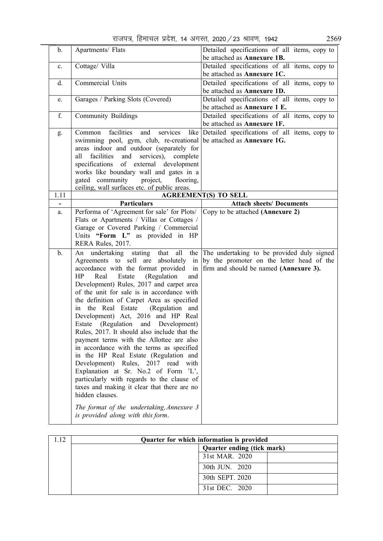| राजपत्र, हिमाचल प्रदेश, 14 अगस्त, 2020 / 23 श्रावण, 1942 |  |  |  |  | 2569 |
|----------------------------------------------------------|--|--|--|--|------|
|                                                          |  |  |  |  |      |

| $\mathbf b$ .            | Apartments/ Flats                                                                                                      | Detailed specifications of all items, copy to                                 |
|--------------------------|------------------------------------------------------------------------------------------------------------------------|-------------------------------------------------------------------------------|
| c.                       | Cottage/ Villa                                                                                                         | be attached as Annexure 1B.<br>Detailed specifications of all items, copy to  |
|                          |                                                                                                                        | be attached as Annexure 1C.                                                   |
| d.                       | Commercial Units                                                                                                       | Detailed specifications of all items, copy to                                 |
|                          |                                                                                                                        | be attached as Annexure 1D.                                                   |
| e.                       | Garages / Parking Slots (Covered)                                                                                      | Detailed specifications of all items, copy to<br>be attached as Annexure 1 E. |
| f.                       | <b>Community Buildings</b>                                                                                             | Detailed specifications of all items, copy to                                 |
|                          |                                                                                                                        | be attached as Annexure 1F.                                                   |
| g.                       | facilities<br>and<br>Common<br>services                                                                                | like Detailed specifications of all items, copy to                            |
|                          | swimming pool, gym, club, re-creational be attached as <b>Annexure 1G.</b><br>areas indoor and outdoor (separately for |                                                                               |
|                          | facilities<br>services), complete<br>and<br>all                                                                        |                                                                               |
|                          | of external development<br>specifications                                                                              |                                                                               |
|                          | works like boundary wall and gates in a                                                                                |                                                                               |
|                          | gated community<br>project,<br>flooring,                                                                               |                                                                               |
| 1.11                     | ceiling, wall surfaces etc. of public areas.                                                                           | <b>AGREEMENT(S) TO SELL</b>                                                   |
| $\overline{\phantom{0}}$ | <b>Particulars</b>                                                                                                     | <b>Attach sheets/ Documents</b>                                               |
| a.                       | Performa of 'Agreement for sale' for Plots/                                                                            | Copy to be attached (Annexure 2)                                              |
|                          | Flats or Apartments / Villas or Cottages /                                                                             |                                                                               |
|                          | Garage or Covered Parking / Commercial                                                                                 |                                                                               |
|                          | Units "Form L" as provided in HP                                                                                       |                                                                               |
|                          | RERA Rules, 2017.                                                                                                      |                                                                               |
| $b$ .                    | undertaking stating<br>all<br>that<br>the<br>An                                                                        | The undertaking to be provided duly signed                                    |
|                          |                                                                                                                        |                                                                               |
|                          | Agreements to sell are absolutely in                                                                                   | by the promoter on the letter head of the                                     |
|                          | accordance with the format provided<br>in                                                                              | firm and should be named (Annexure 3).                                        |
|                          | HP<br>Real<br>Estate<br>(Regulation)<br>and                                                                            |                                                                               |
|                          | Development) Rules, 2017 and carpet area<br>of the unit for sale is in accordance with                                 |                                                                               |
|                          | the definition of Carpet Area as specified                                                                             |                                                                               |
|                          | in the Real Estate (Regulation and                                                                                     |                                                                               |
|                          | Development) Act, 2016 and HP Real                                                                                     |                                                                               |
|                          | Estate (Regulation and Development)                                                                                    |                                                                               |
|                          | Rules, 2017. It should also include that the                                                                           |                                                                               |
|                          | payment terms with the Allottee are also                                                                               |                                                                               |
|                          | in accordance with the terms as specified                                                                              |                                                                               |
|                          | in the HP Real Estate (Regulation and<br>with                                                                          |                                                                               |
|                          | Development) Rules, 2017 read<br>Explanation at Sr. No.2 of Form 'L',                                                  |                                                                               |
|                          | particularly with regards to the clause of                                                                             |                                                                               |
|                          | taxes and making it clear that there are no                                                                            |                                                                               |
|                          | hidden clauses.                                                                                                        |                                                                               |
|                          | The format of the undertaking, Annexure 3                                                                              |                                                                               |
|                          | is provided along with this form.                                                                                      |                                                                               |

| 1 12 | Quarter for which information is provided |                            |  |  |  |  |  |  |  |  |
|------|-------------------------------------------|----------------------------|--|--|--|--|--|--|--|--|
|      |                                           | Quarter ending (tick mark) |  |  |  |  |  |  |  |  |
|      |                                           | 31st MAR. 2020             |  |  |  |  |  |  |  |  |
|      |                                           | 30th JUN. 2020             |  |  |  |  |  |  |  |  |
|      |                                           | 30th SEPT. 2020            |  |  |  |  |  |  |  |  |
|      |                                           | 31st DEC. 2020             |  |  |  |  |  |  |  |  |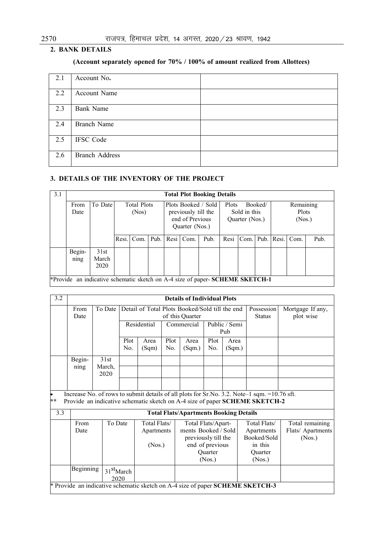# **2. BANK DETAILS**

# **(Account separately opened for 70% / 100% of amount realized from Allottees)**

| 2.1 | Account No.           |  |
|-----|-----------------------|--|
| 2.2 | Account Name          |  |
| 2.3 | <b>Bank Name</b>      |  |
| 2.4 | <b>Branch Name</b>    |  |
| 2.5 | <b>IFSC</b> Code      |  |
| 2.6 | <b>Branch Address</b> |  |

#### **3. DETAILS OF THE INVENTORY OF THE PROJECT**

| 3.1 |        | <b>Total Plot Booking Details</b>                                                           |                    |       |      |                                   |                     |                |                  |           |              |           |                  |      |
|-----|--------|---------------------------------------------------------------------------------------------|--------------------|-------|------|-----------------------------------|---------------------|----------------|------------------|-----------|--------------|-----------|------------------|------|
|     | From   | To Date                                                                                     | <b>Total Plots</b> |       |      | Plots Booked / Sold               |                     |                | Booked/<br>Plots |           |              | Remaining |                  |      |
|     | Date   |                                                                                             |                    | (Nos) |      |                                   | previously till the |                | Sold in this     |           | <b>Plots</b> |           |                  |      |
|     |        |                                                                                             |                    |       |      | end of Previous<br>Quarter (Nos.) |                     | Quarter (Nos.) |                  | (Nos.)    |              |           |                  |      |
|     |        |                                                                                             | Resi.              | Com.  | Pub. |                                   | Resi Com.           | Pub.           |                  | Resi Com. | Pub.         | Resi.     | $\mathsf{Com}$ . | Pub. |
|     | Begin- | 31st                                                                                        |                    |       |      |                                   |                     |                |                  |           |              |           |                  |      |
|     | ning   | March<br>2020                                                                               |                    |       |      |                                   |                     |                |                  |           |              |           |                  |      |
|     |        | <b>*Provide</b> an indicative schematic sketch on A-4 size of paper- <b>SCHEME SKETCH-1</b> |                    |       |      |                                   |                     |                |                  |           |              |           |                  |      |

| 3.2 |                |                        |                        |                                      | <b>Details of Individual Plots</b> |                                                                   |                            |                |                                                                                                                                                                             |                                                |
|-----|----------------|------------------------|------------------------|--------------------------------------|------------------------------------|-------------------------------------------------------------------|----------------------------|----------------|-----------------------------------------------------------------------------------------------------------------------------------------------------------------------------|------------------------------------------------|
|     | From<br>Date   | To Date                |                        |                                      |                                    | Detail of Total Plots Booked/Sold till the end<br>of this Quarter |                            |                | Possession<br><b>Status</b>                                                                                                                                                 | Mortgage If any,<br>plot wise                  |
|     |                |                        |                        | Residential                          |                                    | Commercial                                                        | Public / Semi<br>Pub       |                |                                                                                                                                                                             |                                                |
|     |                |                        | Plot<br>No.            | Area<br>(Sqm)                        | Plot<br>No.                        | Area<br>(Sqm.)                                                    | Plot<br>No.                | Area<br>(Sqm.) |                                                                                                                                                                             |                                                |
|     | Begin-<br>ning | 31st<br>March,<br>2020 |                        |                                      |                                    |                                                                   |                            |                |                                                                                                                                                                             |                                                |
|     |                |                        |                        |                                      |                                    |                                                                   |                            |                |                                                                                                                                                                             |                                                |
| **  |                |                        |                        |                                      |                                    |                                                                   |                            |                | Increase No. of rows to submit details of all plots for Sr.No. 3.2. Note-1 sqm. = 10.76 sft.<br>Provide an indicative schematic sketch on A-4 size of paper SCHEME SKETCH-2 |                                                |
| 3.3 |                |                        |                        |                                      |                                    | <b>Total Flats/Apartments Booking Details</b>                     |                            |                |                                                                                                                                                                             |                                                |
|     | From<br>Date   | To Date                |                        | Total Flats/<br>Apartments<br>(Nos.) |                                    | Total Flats/Apart-<br>ments Booked / Sold<br>previously till the  | end of previous<br>Quarter |                | Total Flats/<br>Apartments<br>Booked/Sold<br>in this<br>Quarter                                                                                                             | Total remaining<br>Flats/ Apartments<br>(Nos.) |
|     | Beginning      | 2020                   | 31 <sup>st</sup> March |                                      |                                    |                                                                   | (Nos.)                     |                | (Nos.)                                                                                                                                                                      |                                                |
|     |                |                        |                        |                                      |                                    |                                                                   |                            |                | Provide an indicative schematic sketch on A-4 size of paper SCHEME SKETCH-3                                                                                                 |                                                |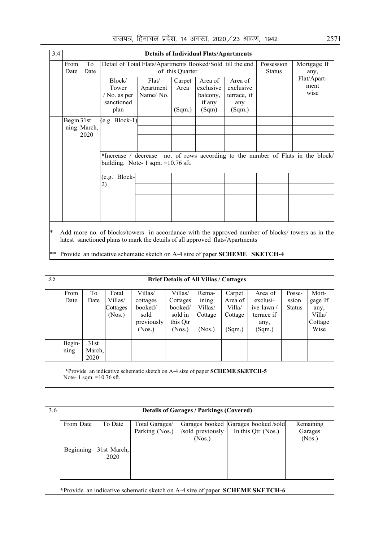| 3.4 |              |                     |                                                                  |                                |                          | <b>Details of Individual Flats/Apartments</b>       |                                                      |  |                                                            |
|-----|--------------|---------------------|------------------------------------------------------------------|--------------------------------|--------------------------|-----------------------------------------------------|------------------------------------------------------|--|------------------------------------------------------------|
|     | From<br>Date | To<br>Date          | Detail of Total Flats/Apartments Booked/Sold till the end        | of this Quarter                |                          | Possession<br><b>Status</b>                         | Mortgage If<br>any,                                  |  |                                                            |
|     |              |                     | Block/<br>Tower<br>/ No. as per<br>sanctioned<br>plan            | Flat/<br>Apartment<br>Name/No. | Carpet<br>Area<br>(Sqm.) | Area of<br>exclusive<br>balcony,<br>if any<br>(Sqm) | Area of<br>exclusive<br>terrace, if<br>any<br>(Sqm.) |  | Flat/Apart-<br>ment<br>wise                                |
|     | Begin 31st   | ning March,<br>2020 | $(e.g. Block-1)$                                                 |                                |                          |                                                     |                                                      |  |                                                            |
|     |              |                     | $*$ Increase /<br>building. Note- $1 \text{ sqm}$ . = 10.76 sft. | decrease                       |                          |                                                     |                                                      |  | no. of rows according to the number of Flats in the block/ |
|     |              |                     | (e.g. Block-<br>2)                                               |                                |                          |                                                     |                                                      |  |                                                            |

\* Add more no. of blocks/towers in accordance with the approved number of blocks/ towers as in the latest sanctioned plans to mark the details of all approved flats/Apartments

\*\* Provide an indicative schematic sketch on A-4 size of paper **SCHEME SKETCH-4**

| 3.5 |                | <b>Brief Details of All Villas / Cottages</b> |                                        |                                                                                     |                                                                 |                                                |                                                  |                                                                  |                                  |                                                       |  |  |  |
|-----|----------------|-----------------------------------------------|----------------------------------------|-------------------------------------------------------------------------------------|-----------------------------------------------------------------|------------------------------------------------|--------------------------------------------------|------------------------------------------------------------------|----------------------------------|-------------------------------------------------------|--|--|--|
|     | From<br>Date   | To<br>Date                                    | Total<br>Villas/<br>Cottages<br>(Nos.) | Villas/<br>cottages<br>booked/<br>sold<br>previously<br>(Nos.)                      | Villas/<br>Cottages<br>booked/<br>sold in<br>this Qtr<br>(Nos.) | Rema-<br>ining<br>Villas/<br>Cottage<br>(Nos.) | Carpet<br>Area of<br>Villa/<br>Cottage<br>(Sqm.) | Area of<br>exclusi-<br>ive lawn/<br>terrace if<br>any,<br>(Sqm.) | Posse-<br>ssion<br><b>Status</b> | Mort-<br>gage If<br>any,<br>Villa/<br>Cottage<br>Wise |  |  |  |
|     | Begin-<br>ning | 31st<br>March,<br>2020                        |                                        |                                                                                     |                                                                 |                                                |                                                  |                                                                  |                                  |                                                       |  |  |  |
|     |                | Note- 1 sqm. $=10.76$ sft.                    |                                        | *Provide an indicative schematic sketch on A-4 size of paper <b>SCHEME SKETCH-5</b> |                                                                 |                                                |                                                  |                                                                  |                                  |                                                       |  |  |  |

| 3.6 | <b>Details of Garages / Parkings (Covered)</b> |                     |                                  |                            |                                                                                            |                                |  |  |  |  |  |  |
|-----|------------------------------------------------|---------------------|----------------------------------|----------------------------|--------------------------------------------------------------------------------------------|--------------------------------|--|--|--|--|--|--|
|     | From Date                                      | To Date             | Total Garages/<br>Parking (Nos.) | /sold previously<br>(Nos.) | Garages booked Garages booked/sold<br>In this Qtr (Nos.)                                   | Remaining<br>Garages<br>(Nos.) |  |  |  |  |  |  |
|     | Beginning                                      | 31st March,<br>2020 |                                  |                            |                                                                                            |                                |  |  |  |  |  |  |
|     |                                                |                     |                                  |                            | <b>*Provide</b> an indicative schematic sketch on A-4 size of paper <b>SCHEME SKETCH-6</b> |                                |  |  |  |  |  |  |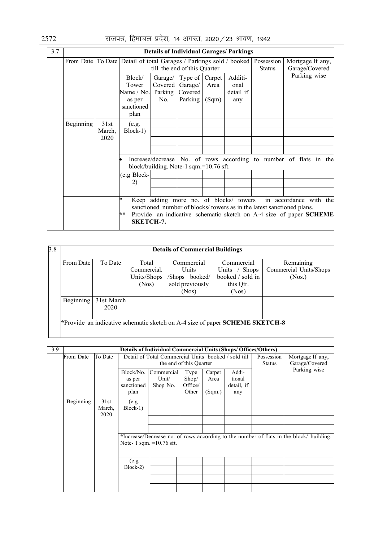| 3.7 |           |                        |                                                                               |                                        |                                                    |                         | <b>Details of Individual Garages/ Parkings</b> |                                                                       |                                                                                              |
|-----|-----------|------------------------|-------------------------------------------------------------------------------|----------------------------------------|----------------------------------------------------|-------------------------|------------------------------------------------|-----------------------------------------------------------------------|----------------------------------------------------------------------------------------------|
|     |           |                        | From Date To Date Detail of total Garages / Parkings sold / booked Possession | till the end of this Quarter           |                                                    |                         |                                                | <b>Status</b>                                                         | Mortgage If any,<br>Garage/Covered                                                           |
|     |           |                        | Block/<br>Tower<br>Name / No.<br>as per<br>sanctioned<br>plan                 | Garage/<br>Covered<br>No.              | Type of<br>Garage/<br>Parking   Covered<br>Parking | Carpet<br>Area<br>(Sqm) | Additi-<br>onal<br>detail if<br>any            |                                                                       | Parking wise                                                                                 |
|     | Beginning | 31st<br>March,<br>2020 | (e.g.<br>Block-1)                                                             |                                        |                                                    |                         |                                                |                                                                       |                                                                                              |
|     |           |                        | $\bullet$                                                                     | block/building. Note-1 sqm.=10.76 sft. |                                                    |                         |                                                |                                                                       | Increase/decrease No. of rows according to number of flats in the                            |
|     |           |                        | (e.g Block-<br>2)                                                             |                                        |                                                    |                         |                                                |                                                                       |                                                                                              |
|     |           |                        | *<br>**<br>SKETCH-7.                                                          |                                        |                                                    |                         | Keep adding more no. of blocks/ towers         | sanctioned number of blocks/towers as in the latest sanctioned plans. | in accordance with the<br>Provide an indicative schematic sketch on A-4 size of paper SCHEME |

| 3.8 |           |                    |                                              | <b>Details of Commercial Buildings</b>                                                     |                                                                       |                                               |  |  |  |  |  |  |
|-----|-----------|--------------------|----------------------------------------------|--------------------------------------------------------------------------------------------|-----------------------------------------------------------------------|-----------------------------------------------|--|--|--|--|--|--|
|     | From Date | To Date            | Total<br>Commercial.<br>Units/Shops<br>(Nos) | Commercial<br><b>Units</b><br>/Shops booked/<br>sold previously<br>(Nos)                   | Commercial<br>Units / Shops<br>booked / sold in<br>this Qtr.<br>(Nos) | Remaining<br>Commercial Units/Shops<br>(Nos.) |  |  |  |  |  |  |
|     | Beginning | 31st March<br>2020 |                                              |                                                                                            |                                                                       |                                               |  |  |  |  |  |  |
|     |           |                    |                                              | <b>*Provide</b> an indicative schematic sketch on A-4 size of paper <b>SCHEME SKETCH-8</b> |                                                                       |                                               |  |  |  |  |  |  |

| 3.9 | <b>Details of Individual Commercial Units (Shops/ Offices/Others)</b> |                |                                           |                                                     |                                                       |                          |                                      |                                    |                                                                                         |
|-----|-----------------------------------------------------------------------|----------------|-------------------------------------------|-----------------------------------------------------|-------------------------------------------------------|--------------------------|--------------------------------------|------------------------------------|-----------------------------------------------------------------------------------------|
|     | To Date<br>From Date                                                  |                |                                           | Detail of Total Commercial Units booked / sold till | the end of this Quarter                               |                          | Possession<br><b>Status</b>          | Mortgage If any,<br>Garage/Covered |                                                                                         |
|     |                                                                       |                | Block/No.<br>as per<br>sanctioned<br>plan | Commercial<br>Unit/<br>Shop No.                     | Type<br>$\mathrm{Shop}/\mathrm{}$<br>Office/<br>Other | Carpet<br>Area<br>(Sqm.) | Addi-<br>tional<br>detail, if<br>any |                                    | Parking wise                                                                            |
|     | Beginning                                                             | 31st<br>March, | (e.g.<br>Block-1)                         |                                                     |                                                       |                          |                                      |                                    |                                                                                         |
|     |                                                                       | 2020           |                                           |                                                     |                                                       |                          |                                      |                                    |                                                                                         |
|     |                                                                       |                |                                           |                                                     |                                                       |                          |                                      |                                    |                                                                                         |
|     |                                                                       |                |                                           | Note- 1 sqm. $=10.76$ sft.                          |                                                       |                          |                                      |                                    | *Increase/Decrease no. of rows according to the number of flats in the block/ building. |
|     |                                                                       |                | (e.g.                                     |                                                     |                                                       |                          |                                      |                                    |                                                                                         |
|     |                                                                       |                | Block-2)                                  |                                                     |                                                       |                          |                                      |                                    |                                                                                         |
|     |                                                                       |                |                                           |                                                     |                                                       |                          |                                      |                                    |                                                                                         |
|     |                                                                       |                |                                           |                                                     |                                                       |                          |                                      |                                    |                                                                                         |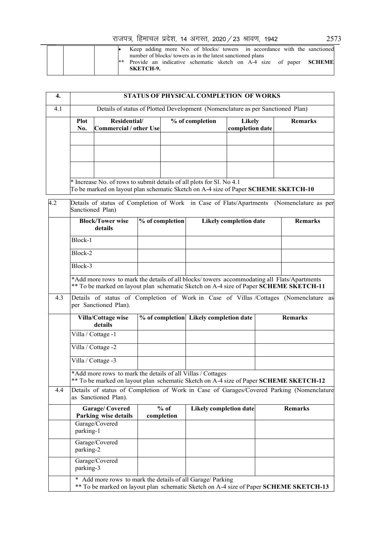# राजपत्र, हिमाचल प्रदेश, 14 अगस्त, 2020 / 23 श्रावण, 1942 2573

|    | Keep adding more No. of blocks/ towers in accordance with the sanctioned  |  |
|----|---------------------------------------------------------------------------|--|
|    | number of blocks/towers as in the latest sanctioned plans                 |  |
| ** | Provide an indicative schematic sketch on A-4 size of paper <b>SCHEME</b> |  |
|    | SKETCH-9.                                                                 |  |
|    |                                                                           |  |

| $\overline{4}$ . | <b>STATUS OF PHYSICAL COMPLETION OF WORKS</b>                                                                 |                                                                                         |                                        |                                                     |                               |                               |  |                                                                                                                                                                                     |
|------------------|---------------------------------------------------------------------------------------------------------------|-----------------------------------------------------------------------------------------|----------------------------------------|-----------------------------------------------------|-------------------------------|-------------------------------|--|-------------------------------------------------------------------------------------------------------------------------------------------------------------------------------------|
| 4.1              |                                                                                                               | Details of status of Plotted Development (Nomenclature as per Sanctioned Plan)          |                                        |                                                     |                               |                               |  |                                                                                                                                                                                     |
|                  | <b>Plot</b><br>No.                                                                                            | Residential/<br><b>Commercial / other Use</b>                                           |                                        | <b>Likely</b><br>% of completion<br>completion date |                               |                               |  | <b>Remarks</b>                                                                                                                                                                      |
|                  |                                                                                                               |                                                                                         |                                        |                                                     |                               |                               |  |                                                                                                                                                                                     |
|                  |                                                                                                               |                                                                                         |                                        |                                                     |                               |                               |  |                                                                                                                                                                                     |
|                  |                                                                                                               |                                                                                         |                                        |                                                     |                               |                               |  |                                                                                                                                                                                     |
|                  |                                                                                                               | * Increase No. of rows to submit details of all plots for Sl. No 4.1                    |                                        |                                                     |                               |                               |  |                                                                                                                                                                                     |
|                  |                                                                                                               | To be marked on layout plan schematic Sketch on A-4 size of Paper SCHEME SKETCH-10      |                                        |                                                     |                               |                               |  |                                                                                                                                                                                     |
| 4.2              |                                                                                                               | Details of status of Completion of Work in Case of Flats/Apartments<br>Sanctioned Plan) |                                        |                                                     |                               |                               |  | (Nomenclature as per                                                                                                                                                                |
|                  | <b>Block/Tower wise</b><br>details                                                                            |                                                                                         |                                        | % of completion                                     |                               | <b>Likely completion date</b> |  | <b>Remarks</b>                                                                                                                                                                      |
|                  | Block-1                                                                                                       |                                                                                         |                                        |                                                     |                               |                               |  |                                                                                                                                                                                     |
|                  | Block-2                                                                                                       |                                                                                         |                                        |                                                     |                               |                               |  |                                                                                                                                                                                     |
|                  | Block-3                                                                                                       |                                                                                         |                                        |                                                     |                               |                               |  |                                                                                                                                                                                     |
|                  |                                                                                                               |                                                                                         |                                        |                                                     |                               |                               |  | *Add more rows to mark the details of all blocks/towers accommodating all Flats/Apartments<br>** To be marked on layout plan schematic Sketch on A-4 size of Paper SCHEME SKETCH-11 |
| 4.3              | Details of status of Completion of Work in Case of Villas /Cottages (Nomenclature as<br>per Sanctioned Plan). |                                                                                         |                                        |                                                     |                               |                               |  |                                                                                                                                                                                     |
|                  |                                                                                                               | Villa/Cottage wise<br>details                                                           | % of completion Likely completion date |                                                     |                               |                               |  | <b>Remarks</b>                                                                                                                                                                      |
|                  |                                                                                                               | Villa / Cottage -1                                                                      |                                        |                                                     |                               |                               |  |                                                                                                                                                                                     |
|                  |                                                                                                               | Villa / Cottage -2                                                                      |                                        |                                                     |                               |                               |  |                                                                                                                                                                                     |
|                  |                                                                                                               | Villa / Cottage -3                                                                      |                                        |                                                     |                               |                               |  |                                                                                                                                                                                     |
|                  |                                                                                                               | *Add more rows to mark the details of all Villas / Cottages                             |                                        |                                                     |                               |                               |  | ** To be marked on layout plan schematic Sketch on A-4 size of Paper SCHEME SKETCH-12                                                                                               |
| 4.4              |                                                                                                               | as Sanctioned Plan).                                                                    |                                        |                                                     |                               |                               |  | Details of status of Completion of Work in Case of Garages/Covered Parking (Nomenclature                                                                                            |
|                  |                                                                                                               | <b>Garage/Covered</b><br><b>Parking wise details</b>                                    |                                        | $%$ of<br>completion                                | <b>Likely completion date</b> |                               |  | <b>Remarks</b>                                                                                                                                                                      |
|                  | parking-1                                                                                                     | Garage/Covered                                                                          |                                        |                                                     |                               |                               |  |                                                                                                                                                                                     |
|                  | parking-2                                                                                                     | Garage/Covered                                                                          |                                        |                                                     |                               |                               |  |                                                                                                                                                                                     |
|                  | parking-3                                                                                                     | Garage/Covered                                                                          |                                        |                                                     |                               |                               |  |                                                                                                                                                                                     |
|                  | ∗                                                                                                             | Add more rows to mark the details of all Garage/ Parking                                |                                        |                                                     |                               |                               |  | ** To be marked on layout plan schematic Sketch on A-4 size of Paper SCHEME SKETCH-13                                                                                               |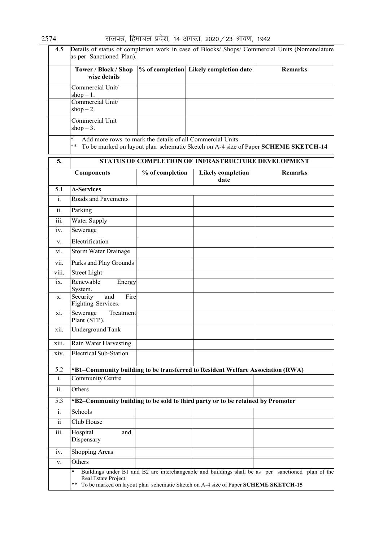| 4.5                     | as per Sanctioned Plan).                                           |                 | Details of status of completion work in case of Blocks/ Shops/ Commercial Units (Nomenclature                                                                                            |                |
|-------------------------|--------------------------------------------------------------------|-----------------|------------------------------------------------------------------------------------------------------------------------------------------------------------------------------------------|----------------|
|                         | Tower / Block / Shop<br>wise details                               |                 | % of completion Likely completion date                                                                                                                                                   | <b>Remarks</b> |
|                         | Commercial Unit/                                                   |                 |                                                                                                                                                                                          |                |
|                         | shop $-1$ .<br>Commercial Unit/<br>shop $-2$ .                     |                 |                                                                                                                                                                                          |                |
|                         | Commercial Unit<br>shop $-3$ .                                     |                 |                                                                                                                                                                                          |                |
|                         | Add more rows to mark the details of all Commercial Units<br>$***$ |                 | To be marked on layout plan schematic Sketch on A-4 size of Paper SCHEME SKETCH-14                                                                                                       |                |
| 5.                      |                                                                    |                 | STATUS OF COMPLETION OF INFRASTRUCTURE DEVELOPMENT                                                                                                                                       |                |
|                         | <b>Components</b>                                                  | % of completion | Likely completion<br>date                                                                                                                                                                | <b>Remarks</b> |
| 5.1                     | <b>A-Services</b>                                                  |                 |                                                                                                                                                                                          |                |
| $\mathbf{i}$ .          | <b>Roads and Pavements</b>                                         |                 |                                                                                                                                                                                          |                |
| ii.                     | Parking                                                            |                 |                                                                                                                                                                                          |                |
| iii.                    | Water Supply                                                       |                 |                                                                                                                                                                                          |                |
| 1V.                     | Sewerage                                                           |                 |                                                                                                                                                                                          |                |
| V.                      | Electrification                                                    |                 |                                                                                                                                                                                          |                |
| Vİ.                     | <b>Storm Water Drainage</b>                                        |                 |                                                                                                                                                                                          |                |
| V11.                    | Parks and Play Grounds                                             |                 |                                                                                                                                                                                          |                |
| viii.                   | <b>Street Light</b>                                                |                 |                                                                                                                                                                                          |                |
| 1X.                     | Renewable<br>Energy<br>System.                                     |                 |                                                                                                                                                                                          |                |
| X.                      | Fire<br>Security<br>and<br>Fighting Services.                      |                 |                                                                                                                                                                                          |                |
| XI.                     | Sewerage<br>Treatment<br>Plant (STP).                              |                 |                                                                                                                                                                                          |                |
| xii.                    | <b>Underground Tank</b>                                            |                 |                                                                                                                                                                                          |                |
| xiii.                   | Rain Water Harvesting                                              |                 |                                                                                                                                                                                          |                |
| xiv.                    | <b>Electrical Sub-Station</b>                                      |                 |                                                                                                                                                                                          |                |
| 5.2                     |                                                                    |                 | *B1-Community building to be transferred to Resident Welfare Association (RWA)                                                                                                           |                |
| $\mathbf{i}$ .          | Community Centre                                                   |                 |                                                                                                                                                                                          |                |
| ii.                     | Others                                                             |                 |                                                                                                                                                                                          |                |
| 5.3                     |                                                                    |                 | *B2-Community building to be sold to third party or to be retained by Promoter                                                                                                           |                |
| i.                      | Schools                                                            |                 |                                                                                                                                                                                          |                |
| $\overline{\mathbf{i}}$ | Club House                                                         |                 |                                                                                                                                                                                          |                |
| iii.                    | Hospital<br>and<br>Dispensary                                      |                 |                                                                                                                                                                                          |                |
| 1V.                     | <b>Shopping Areas</b>                                              |                 |                                                                                                                                                                                          |                |
| V.                      | Others                                                             |                 |                                                                                                                                                                                          |                |
|                         | $\star$<br>Real Estate Project.<br>**                              |                 | Buildings under B1 and B2 are interchangeable and buildings shall be as per sanctioned plan of the<br>To be marked on layout plan schematic Sketch on A-4 size of Paper SCHEME SKETCH-15 |                |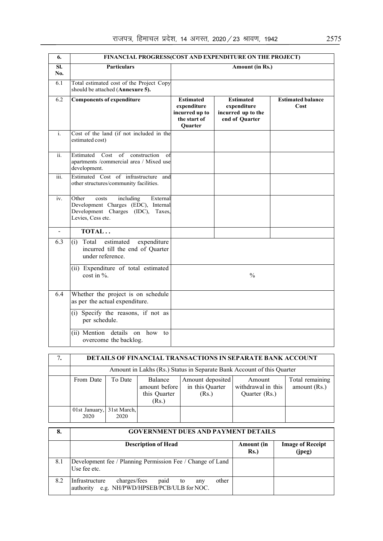| 6.         | <b>FINANCIAL PROGRESS(COST AND EXPENDITURE ON THE PROJECT)</b>                                                                           |                                                                                     |                                                                         |                                  |  |  |  |
|------------|------------------------------------------------------------------------------------------------------------------------------------------|-------------------------------------------------------------------------------------|-------------------------------------------------------------------------|----------------------------------|--|--|--|
| SI.<br>No. | <b>Particulars</b>                                                                                                                       |                                                                                     | Amount (in Rs.)                                                         |                                  |  |  |  |
| 6.1        | Total estimated cost of the Project Copy<br>should be attached (Annexure 5).                                                             |                                                                                     |                                                                         |                                  |  |  |  |
| 6.2        | <b>Components of expenditure</b>                                                                                                         | <b>Estimated</b><br>expenditure<br>incurred up to<br>the start of<br><b>Ouarter</b> | <b>Estimated</b><br>expenditure<br>incurred up to the<br>end of Quarter | <b>Estimated balance</b><br>Cost |  |  |  |
| $i$ .      | Cost of the land (if not included in the<br>estimated cost)                                                                              |                                                                                     |                                                                         |                                  |  |  |  |
| ii.        | Estimated Cost<br>$\overline{of}$<br>construction<br>of<br>apartments /commercial area / Mixed use<br>development.                       |                                                                                     |                                                                         |                                  |  |  |  |
| iii.       | Estimated Cost of infrastructure and<br>other structures/community facilities.                                                           |                                                                                     |                                                                         |                                  |  |  |  |
| iv.        | Other<br>including<br>External<br>costs<br>Development Charges (EDC), Internal<br>Development Charges (IDC), Taxes,<br>Levies, Cess etc. |                                                                                     |                                                                         |                                  |  |  |  |
|            | TOTAL                                                                                                                                    |                                                                                     |                                                                         |                                  |  |  |  |
| 6.3        | Total<br>estimated<br>expenditure<br>(i)<br>incurred till the end of Quarter<br>under reference.                                         |                                                                                     |                                                                         |                                  |  |  |  |
|            | (ii) Expenditure of total estimated<br>$\cot$ in %.                                                                                      |                                                                                     | $\frac{0}{0}$                                                           |                                  |  |  |  |
| 6.4        | Whether the project is on schedule<br>as per the actual expenditure.                                                                     |                                                                                     |                                                                         |                                  |  |  |  |
|            | (i) Specify the reasons, if not as<br>per schedule.                                                                                      |                                                                                     |                                                                         |                                  |  |  |  |
|            | (ii) Mention<br>details on<br>how to<br>overcome the backlog.                                                                            |                                                                                     |                                                                         |                                  |  |  |  |

|                                                                       | <b>DETAILS OF FINANCIAL TRANSACTIONS IN SEPARATE BANK ACCOUNT</b> |                                                   |                                              |                                               |                                 |  |  |
|-----------------------------------------------------------------------|-------------------------------------------------------------------|---------------------------------------------------|----------------------------------------------|-----------------------------------------------|---------------------------------|--|--|
| Amount in Lakhs (Rs.) Status in Separate Bank Account of this Quarter |                                                                   |                                                   |                                              |                                               |                                 |  |  |
| From Date                                                             | To Date                                                           | Balance<br>amount before<br>this Quarter<br>(Rs.) | Amount deposited<br>in this Quarter<br>(Rs.) | Amount<br>withdrawal in this<br>Quarter (Rs.) | Total remaining<br>amount (Rs.) |  |  |
| 01st January, 31st March,<br>2020                                     | 2020                                                              |                                                   |                                              |                                               |                                 |  |  |

| 8.  | <b>GOVERNMENT DUES AND PAYMENT DETAILS</b>                                                                      |                   |                                   |  |  |  |
|-----|-----------------------------------------------------------------------------------------------------------------|-------------------|-----------------------------------|--|--|--|
|     | <b>Description of Head</b>                                                                                      | Amount (in<br>Rs. | <b>Image of Receipt</b><br>(jpeg) |  |  |  |
| 8.1 | Development fee / Planning Permission Fee / Change of Land<br>Use fee etc.                                      |                   |                                   |  |  |  |
| 8.2 | Infrastructure<br>charges/fees<br>other<br>paid<br>to<br>any<br>e.g. NH/PWD/HPSEB/PCB/ULB for NOC.<br>authority |                   |                                   |  |  |  |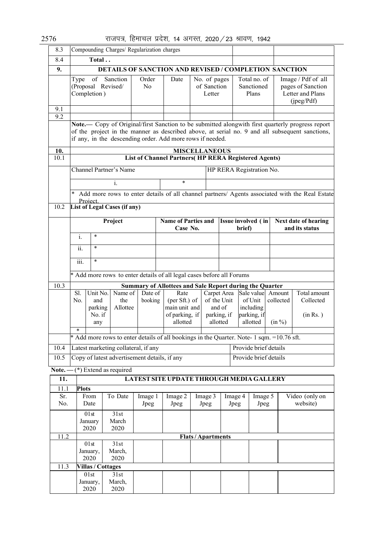# $2576$  राजपत्र, हिमाचल प्रदेश, 14 अगस्त, 2020  $\!/$  23 श्रावण, 1942

| 8.3         |                                                                                                                            |                            | Compounding Charges/ Regularization charges  |                         |                                                                                          |  |                                       |          |                          |                                           |           |  |                                                                                                                                                                                                    |
|-------------|----------------------------------------------------------------------------------------------------------------------------|----------------------------|----------------------------------------------|-------------------------|------------------------------------------------------------------------------------------|--|---------------------------------------|----------|--------------------------|-------------------------------------------|-----------|--|----------------------------------------------------------------------------------------------------------------------------------------------------------------------------------------------------|
| 8.4         |                                                                                                                            | Total                      |                                              |                         |                                                                                          |  |                                       |          |                          |                                           |           |  |                                                                                                                                                                                                    |
| 9.          |                                                                                                                            |                            |                                              |                         | <b>DETAILS OF SANCTION AND REVISED / COMPLETION SANCTION</b>                             |  |                                       |          |                          |                                           |           |  |                                                                                                                                                                                                    |
|             | Type                                                                                                                       | of<br>Completion)          | Sanction<br>(Proposal Revised/               | Order<br>N <sub>o</sub> | Date                                                                                     |  | No. of pages<br>of Sanction<br>Letter |          |                          | Total no. of<br>Sanctioned<br>Plans       |           |  | Image / Pdf of all<br>pages of Sanction<br>Letter and Plans<br>(jpeg/Pdf)                                                                                                                          |
| 9.1         |                                                                                                                            |                            |                                              |                         |                                                                                          |  |                                       |          |                          |                                           |           |  |                                                                                                                                                                                                    |
| 9.2         |                                                                                                                            |                            |                                              |                         | if any, in the descending order. Add more rows if needed.                                |  |                                       |          |                          |                                           |           |  | Note.— Copy of Original/first Sanction to be submitted alongwith first quarterly progress report<br>of the project in the manner as described above, at serial no. 9 and all subsequent sanctions, |
| 10.<br>10.1 |                                                                                                                            |                            |                                              |                         | <b>MISCELLANEOUS</b><br><b>List of Channel Partners( HP RERA Registered Agents)</b>      |  |                                       |          |                          |                                           |           |  |                                                                                                                                                                                                    |
|             |                                                                                                                            |                            | <b>Channel Partner's Name</b>                |                         |                                                                                          |  |                                       |          | HP RERA Registration No. |                                           |           |  |                                                                                                                                                                                                    |
|             |                                                                                                                            |                            | $\mathbf{i}$ .                               |                         | $\ast$                                                                                   |  |                                       |          |                          |                                           |           |  |                                                                                                                                                                                                    |
| 10.2        | $\ast$                                                                                                                     | Project.                   |                                              |                         |                                                                                          |  |                                       |          |                          |                                           |           |  | Add more rows to enter details of all channel partners/ Agents associated with the Real Estate                                                                                                     |
|             | List of Legal Cases (if any)<br><b>Name of Parties and</b><br>Project<br><b>Issue involved</b> (in<br>Next date of hearing |                            |                                              |                         |                                                                                          |  |                                       |          |                          |                                           |           |  |                                                                                                                                                                                                    |
|             | $\mathbf{i}$ .                                                                                                             | $\ast$                     |                                              |                         | Case No.                                                                                 |  |                                       |          | brief)                   |                                           |           |  | and its status                                                                                                                                                                                     |
|             | $\overline{ii}$ .                                                                                                          | $\ast$                     |                                              |                         |                                                                                          |  |                                       |          |                          |                                           |           |  |                                                                                                                                                                                                    |
|             | $\overline{\text{iii}}$ .                                                                                                  | $\ast$                     |                                              |                         |                                                                                          |  |                                       |          |                          |                                           |           |  |                                                                                                                                                                                                    |
|             |                                                                                                                            |                            |                                              |                         | * Add more rows to enter details of all legal cases before all Forums                    |  |                                       |          |                          |                                           |           |  |                                                                                                                                                                                                    |
| 10.3        |                                                                                                                            |                            |                                              |                         | <b>Summary of Allottees and Sale Report during the Quarter</b>                           |  |                                       |          |                          |                                           |           |  |                                                                                                                                                                                                    |
|             | Sl.<br>No.                                                                                                                 | Unit No.<br>and<br>parking | Name of<br>the<br>Allottee                   | Date of<br>booking      | Rate<br>(per Sft.) of<br>main unit and                                                   |  | Carpet Area<br>of the Unit            | and of   |                          | Sale value Amount<br>of Unit<br>including | collected |  | Total amount<br>Collected                                                                                                                                                                          |
|             | *                                                                                                                          | No. if<br>any              |                                              |                         | of parking, if<br>allotted                                                               |  | parking, if                           | allotted |                          | parking, if<br>allotted                   | (in %)    |  | (in Rs.)                                                                                                                                                                                           |
|             |                                                                                                                            |                            |                                              |                         | * Add more rows to enter details of all bookings in the Quarter. Note-1 sqm. =10.76 sft. |  |                                       |          |                          |                                           |           |  |                                                                                                                                                                                                    |
| 10.4        |                                                                                                                            |                            | Latest marketing collateral, if any          |                         |                                                                                          |  |                                       |          | Provide brief details    |                                           |           |  |                                                                                                                                                                                                    |
| 10.5        |                                                                                                                            |                            | Copy of latest advertisement details, if any |                         |                                                                                          |  |                                       |          | Provide brief details    |                                           |           |  |                                                                                                                                                                                                    |
|             |                                                                                                                            |                            | Note. $-$ (*) Extend as required             |                         |                                                                                          |  |                                       |          |                          |                                           |           |  |                                                                                                                                                                                                    |
| 11.         |                                                                                                                            |                            |                                              |                         | LATEST SITE UPDATE THROUGH MEDIA GALLERY                                                 |  |                                       |          |                          |                                           |           |  |                                                                                                                                                                                                    |
| 11.1<br>Sr. | <b>Plots</b>                                                                                                               | From                       | To Date                                      | Image 1                 | Image 2                                                                                  |  | Image 3                               |          | Image 4                  | Image 5                                   |           |  | Video (only on                                                                                                                                                                                     |
|             |                                                                                                                            |                            |                                              |                         |                                                                                          |  | Jpeg                                  |          | Jpeg                     | Jpeg                                      |           |  | website)                                                                                                                                                                                           |
| No.         |                                                                                                                            | Date                       |                                              | Jpeg                    | Jpeg                                                                                     |  |                                       |          |                          |                                           |           |  |                                                                                                                                                                                                    |
|             |                                                                                                                            | 01st<br>January<br>2020    | 31st<br>March<br>2020                        |                         |                                                                                          |  |                                       |          |                          |                                           |           |  |                                                                                                                                                                                                    |
| 11.2        |                                                                                                                            |                            |                                              |                         |                                                                                          |  | <b>Flats/Apartments</b>               |          |                          |                                           |           |  |                                                                                                                                                                                                    |
|             |                                                                                                                            | 01st<br>January,<br>2020   | 31st<br>March,<br>2020                       |                         |                                                                                          |  |                                       |          |                          |                                           |           |  |                                                                                                                                                                                                    |
| 11.3        |                                                                                                                            |                            | <b>Villas / Cottages</b>                     |                         |                                                                                          |  |                                       |          |                          |                                           |           |  |                                                                                                                                                                                                    |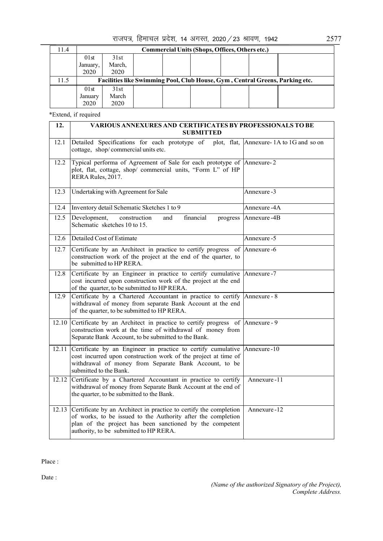| 11.4 |                  | <b>Commercial Units (Shops, Offices, Others etc.)</b> |  |  |  |  |  |                                                                              |
|------|------------------|-------------------------------------------------------|--|--|--|--|--|------------------------------------------------------------------------------|
|      | 01st             | 31st                                                  |  |  |  |  |  |                                                                              |
|      | January,<br>2020 | March,<br>2020                                        |  |  |  |  |  |                                                                              |
| 11.5 |                  |                                                       |  |  |  |  |  | Facilities like Swimming Pool, Club House, Gym, Central Greens, Parking etc. |
|      | 01st             | 31st                                                  |  |  |  |  |  |                                                                              |
|      | January<br>2020  | March<br>2020                                         |  |  |  |  |  |                                                                              |

\*Extend, if required

| 12.   | <b>VARIOUS ANNEXURES AND CERTIFICATES BY PROFESSIONALS TO BE</b><br><b>SUBMITTED</b>                                                                                                                                                    |                                         |  |  |  |  |
|-------|-----------------------------------------------------------------------------------------------------------------------------------------------------------------------------------------------------------------------------------------|-----------------------------------------|--|--|--|--|
| 12.1  | Detailed Specifications for each prototype of<br>cottage, shop/commercial units etc.                                                                                                                                                    | plot, flat, Annexure-1A to 1G and so on |  |  |  |  |
| 12.2  | Typical performa of Agreement of Sale for each prototype of Annexure-2<br>plot, flat, cottage, shop/ commercial units, "Form L" of HP<br>RERA Rules, 2017.                                                                              |                                         |  |  |  |  |
| 12.3  | Undertaking with Agreement for Sale                                                                                                                                                                                                     | Annexure-3                              |  |  |  |  |
| 12.4  | Inventory detail Schematic Sketches 1 to 9                                                                                                                                                                                              | Annexure -4A                            |  |  |  |  |
| 12.5  | Development,<br>financial<br>construction<br>and<br>progress<br>Schematic sketches 10 to 15.                                                                                                                                            | Annexure-4B                             |  |  |  |  |
| 12.6  | Detailed Cost of Estimate                                                                                                                                                                                                               | Annexure-5                              |  |  |  |  |
| 12.7  | Certificate by an Architect in practice to certify progress of Annexure -6<br>construction work of the project at the end of the quarter, to<br>be submitted to HP RERA.                                                                |                                         |  |  |  |  |
| 12.8  | Certificate by an Engineer in practice to certify cumulative Annexure-7<br>cost incurred upon construction work of the project at the end<br>of the quarter, to be submitted to HP RERA.                                                |                                         |  |  |  |  |
| 12.9  | Certificate by a Chartered Accountant in practice to certify Annexure - 8<br>withdrawal of money from separate Bank Account at the end<br>of the quarter, to be submitted to HP RERA.                                                   |                                         |  |  |  |  |
| 12.10 | Certificate by an Architect in practice to certify progress of Annexure - 9<br>construction work at the time of withdrawal of money from<br>Separate Bank Account, to be submitted to the Bank.                                         |                                         |  |  |  |  |
| 12.11 | Certificate by an Engineer in practice to certify cumulative Annexure-10<br>cost incurred upon construction work of the project at time of<br>withdrawal of money from Separate Bank Account, to be<br>submitted to the Bank.           |                                         |  |  |  |  |
| 12.12 | Certificate by a Chartered Accountant in practice to certify<br>withdrawal of money from Separate Bank Account at the end of<br>the quarter, to be submitted to the Bank.                                                               | Annexure -11                            |  |  |  |  |
| 12.13 | Certificate by an Architect in practice to certify the completion<br>of works, to be issued to the Authority after the completion<br>plan of the project has been sanctioned by the competent<br>authority, to be submitted to HP RERA. | Annexure-12                             |  |  |  |  |

Place :

Date :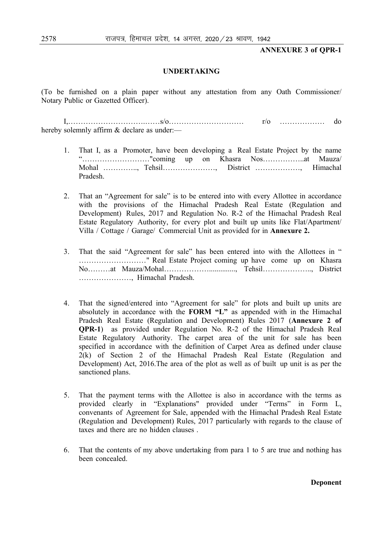#### **ANNEXURE 3 of QPR-1**

#### **UNDERTAKING**

(To be furnished on a plain paper without any attestation from any Oath Commissioner/ Notary Public or Gazetted Officer).

 I,………………………….……s/o………………………… r/o ……………… do hereby solemnly affirm  $&$  declare as under:—

- 1. That I, as a Promoter, have been developing a Real Estate Project by the name "………………………"coming up on Khasra Nos……………..at Mauza/ Mohal ………….., Tehsil…………………, District ………………, Himachal Pradesh.
- 2. That an "Agreement for sale" is to be entered into with every Allottee in accordance with the provisions of the Himachal Pradesh Real Estate (Regulation and Development) Rules, 2017 and Regulation No. R-2 of the Himachal Pradesh Real Estate Regulatory Authority, for every plot and built up units like Flat/Apartment/ Villa / Cottage / Garage/ Commercial Unit as provided for in **Annexure 2.**
- 3. That the said "Agreement for sale" has been entered into with the Allottees in " ………………………" Real Estate Project coming up have come up on Khasra No………at Mauza/Mohal……………….............., Tehsil……………….., District …………………, Himachal Pradesh.
- 4. That the signed/entered into "Agreement for sale" for plots and built up units are absolutely in accordance with the **FORM "L"** as appended with in the Himachal Pradesh Real Estate (Regulation and Development) Rules 2017 (**Annexure 2 of QPR-1**) as provided under Regulation No. R-2 of the Himachal Pradesh Real Estate Regulatory Authority. The carpet area of the unit for sale has been specified in accordance with the definition of Carpet Area as defined under clause 2(k) of Section 2 of the Himachal Pradesh Real Estate (Regulation and Development) Act, 2016.The area of the plot as well as of built up unit is as per the sanctioned plans.
- 5. That the payment terms with the Allottee is also in accordance with the terms as provided clearly in "Explanations" provided under "Terms" in Form L, convenants of Agreement for Sale, appended with the Himachal Pradesh Real Estate (Regulation and Development) Rules, 2017 particularly with regards to the clause of taxes and there are no hidden clauses .
- 6. That the contents of my above undertaking from para 1 to 5 are true and nothing has been concealed.

**Deponent**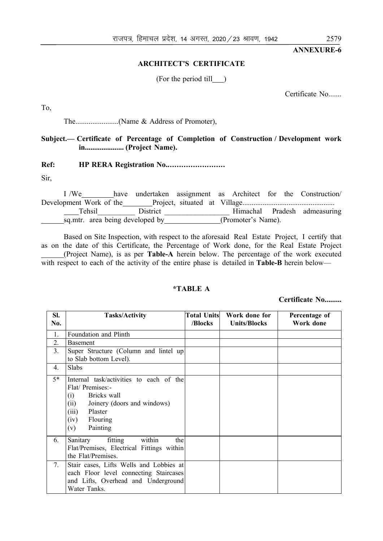**ANNEXURE-6**

#### **ARCHITECT'S CERTIFICATE**

(For the period till  $\Box$ )

Certificate No.......

To,

The.......................(Name & Address of Promoter),

#### **Subject.— Certificate of Percentage of Completion of Construction / Development work in..................... (Project Name).**

#### Ref: **HP RERA Registration No.......................**

Sir,

 I /We have undertaken assignment as Architect for the Construction/ Development Work of the Project, situated at Village.................................................. Tehsil District Himachal Pradesh admeasuring<br>sq.mtr. area being developed by (Promoter's Name). sq.mtr. area being developed by  $\overline{\phantom{m}}$ 

 Based on Site Inspection, with respect to the aforesaid Real Estate Project, I certify that as on the date of this Certificate, the Percentage of Work done, for the Real Estate Project (Project Name), is as per **Table-A** herein below. The percentage of the work executed with respect to each of the activity of the entire phase is detailed in **Table-B** herein below—

#### **\*TABLE A**

**Certificate No.........**

| SI.<br>No.           | <b>Tasks/Activity</b>                                                                                                                                                               | <b>Total Units</b><br>/Blocks | Work done for<br><b>Units/Blocks</b> | Percentage of<br>Work done |
|----------------------|-------------------------------------------------------------------------------------------------------------------------------------------------------------------------------------|-------------------------------|--------------------------------------|----------------------------|
| 1.                   | Foundation and Plinth                                                                                                                                                               |                               |                                      |                            |
| 2.                   | <b>Basement</b>                                                                                                                                                                     |                               |                                      |                            |
| 3 <sub>1</sub>       | Super Structure (Column and lintel up<br>to Slab bottom Level).                                                                                                                     |                               |                                      |                            |
| $\mathbf{4}_{\cdot}$ | Slabs                                                                                                                                                                               |                               |                                      |                            |
| $5*$                 | Internal task/activities to each of the<br>Flat/ Premises:-<br>Bricks wall<br>(i)<br>Joinery (doors and windows)<br>(ii)<br>Plaster<br>(iii)<br>Flouring<br>(iv)<br>Painting<br>(v) |                               |                                      |                            |
| 6.                   | fitting<br>within<br>the<br>Sanitary<br>Flat/Premises, Electrical Fittings within<br>the Flat/Premises.                                                                             |                               |                                      |                            |
| 7.                   | Stair cases, Lifts Wells and Lobbies at<br>each Floor level connecting Staircases<br>and Lifts, Overhead and Underground<br>Water Tanks.                                            |                               |                                      |                            |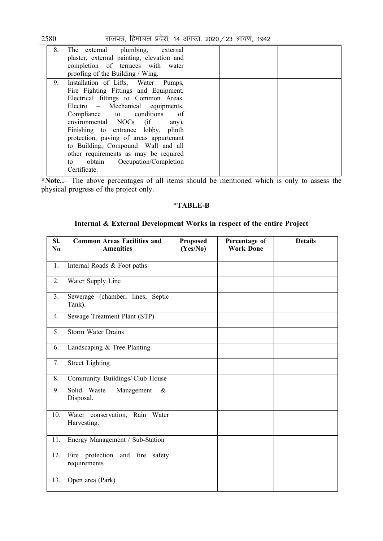$\frac{2580}{1942}$  राजपत्र, हिमाचल प्रदेश, 14 अगस्त, 2020 / 23 श्रावण, 1942

| 8.<br>The external plumbing, external<br>plaster, external painting, elevation and<br>completion of terraces with water<br>proofing of the Building / Wing.                                                                                                                                                                                                                                                                                          |  |
|------------------------------------------------------------------------------------------------------------------------------------------------------------------------------------------------------------------------------------------------------------------------------------------------------------------------------------------------------------------------------------------------------------------------------------------------------|--|
| Installation of Lifts, Water Pumps,<br>9.<br>Fire Fighting Fittings and Equipment,<br>Electrical fittings to Common Areas,<br>Electro – Mechanical equipments,<br>Compliance to conditions<br>of<br>environmental NOCs (if any),<br>Finishing to entrance lobby, plinth<br>protection, paving of areas appurtenant<br>to Building, Compound Wall and all<br>other requirements as may be required<br>to obtain Occupation/Completion<br>Certificate. |  |

**\*Note..**– The above percentages of all items should be mentioned which is only to assess the physical progress of the project only.

# \***TABLE-B**

# **Internal & External Development Works in respect of the entire Project**

| SI.<br>N <sub>0</sub> | <b>Common Areas Facilities and</b><br><b>Amenities</b>   | <b>Proposed</b><br>(Yes/No) | Percentage of<br><b>Work Done</b> | <b>Details</b> |
|-----------------------|----------------------------------------------------------|-----------------------------|-----------------------------------|----------------|
| 1.                    | Internal Roads & Foot paths                              |                             |                                   |                |
| 2.                    | Water Supply Line                                        |                             |                                   |                |
| 3.                    | Sewerage (chamber, lines, Septic<br>Tank).               |                             |                                   |                |
| 4.                    | Sewage Treatment Plant (STP)                             |                             |                                   |                |
| 5.                    | Storm Water Drains                                       |                             |                                   |                |
| 6.                    | Landscaping & Tree Planting                              |                             |                                   |                |
| 7.                    | <b>Street Lighting</b>                                   |                             |                                   |                |
| 8.                    | Community Buildings/ Club House                          |                             |                                   |                |
| 9.                    | Solid Waste<br>Management<br>$\&$<br>Disposal.           |                             |                                   |                |
| 10.                   | Water conservation, Rain<br>Water<br>Harvesting.         |                             |                                   |                |
| 11.                   | Energy Management / Sub-Station                          |                             |                                   |                |
| 12.                   | and<br>fire<br>Fire protection<br>safety<br>requirements |                             |                                   |                |
| 13.                   | Open area (Park)                                         |                             |                                   |                |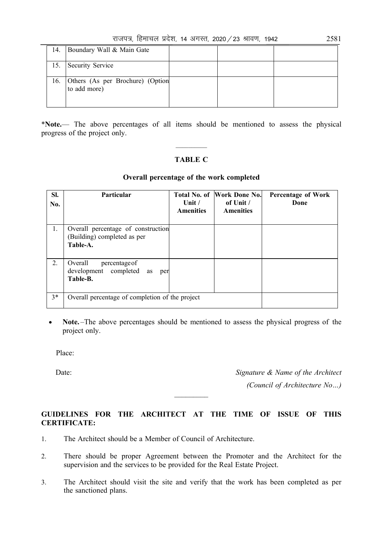| राजपत्र, हिमाचल प्रदेश, 14 अगस्त, 2020 ⁄ 23 श्रावण, 1942 |  |  |  |  |  |  |  |  |  | 2581 |
|----------------------------------------------------------|--|--|--|--|--|--|--|--|--|------|
|----------------------------------------------------------|--|--|--|--|--|--|--|--|--|------|

| 14. Boundary Wall & Main Gate                        |  |  |
|------------------------------------------------------|--|--|
| 15. Security Service                                 |  |  |
| 16. Others (As per Brochure) (Option<br>to add more) |  |  |

\***Note.**— The above percentages of all items should be mentioned to assess the physical progress of the project only.

# **TABLE C**

 $\mathcal{L}_\text{max}$ 

#### **Overall percentage of the work completed**

| SI.<br>No. | <b>Particular</b>                                                             | Unit $/$<br><b>Amenities</b> | <b>Total No. of Work Done No.</b><br>of Unit /<br><b>Amenities</b> | <b>Percentage of Work</b><br>Done |
|------------|-------------------------------------------------------------------------------|------------------------------|--------------------------------------------------------------------|-----------------------------------|
| 1.         | Overall percentage of construction<br>(Building) completed as per<br>Table-A. |                              |                                                                    |                                   |
| 2.         | Overall<br>percentage of<br>development<br>completed<br>as<br>per<br>Table-B. |                              |                                                                    |                                   |
| $3*$       | Overall percentage of completion of the project                               |                              |                                                                    |                                   |

• Note.–The above percentages should be mentioned to assess the physical progress of the project only.

Place:

Date: *Signature & Name of the Architect (Council of Architecture No…)* 

# **GUIDELINES FOR THE ARCHITECT AT THE TIME OF ISSUE OF THIS CERTIFICATE:**

 $\frac{1}{2}$ 

- 1. The Architect should be a Member of Council of Architecture.
- 2. There should be proper Agreement between the Promoter and the Architect for the supervision and the services to be provided for the Real Estate Project.
- 3. The Architect should visit the site and verify that the work has been completed as per the sanctioned plans.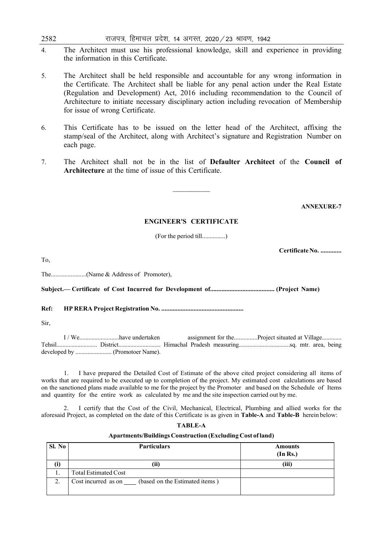- $2582$  राजपत्र, हिमाचल प्रदेश, 14 अगस्त, 2020 / 23 श्रावण, 1942
- 4. The Architect must use his professional knowledge, skill and experience in providing the information in this Certificate.
- 5. The Architect shall be held responsible and accountable for any wrong information in the Certificate. The Architect shall be liable for any penal action under the Real Estate (Regulation and Development) Act, 2016 including recommendation to the Council of Architecture to initiate necessary disciplinary action including revocation of Membership for issue of wrong Certificate.
- 6. This Certificate has to be issued on the letter head of the Architect, affixing the stamp/seal of the Architect, along with Architect's signature and Registration Number on each page.
- 7. The Architect shall not be in the list of **Defaulter Architect** of the **Council of Architecture** at the time of issue of this Certificate.

 $\frac{1}{2}$ 

**ANNEXURE-7**

#### **ENGINEER'S CERTIFICATE**

(For the period till...............)

**Certificate No. .............**

To,

The.......................(Name & Address of Promoter),

**Subject.— Certificate of Cost Incurred for Development of........................................ (Project Name)**

**Ref: HP RERA Project Registration No. ...................................................**

Sir,

 I / We..........................have undertaken assignment for the...............Project situated at Village............. Tehsil........................... District............................ Himachal Pradesh measuring..................................sq. mtr. area, being developed by ........................ (Promotoer Name).

 1. I have prepared the Detailed Cost of Estimate of the above cited project considering all items of works that are required to be executed up to completion of the project. My estimated cost calculations are based on the sanctioned plans made available to me for the project by the Promoter and based on the Schedule of Items and quantity for the entire work as calculated by me and the site inspection carried out by me.

 2. I certify that the Cost of the Civil, Mechanical, Electrical, Plumbing and allied works for the aforesaid Project, as completed on the date of this Certificate is as given in **Table-A** and **Table-B** herein below:

| <b>TABLE-A</b>                                                    |
|-------------------------------------------------------------------|
| <b>Apartments/Buildings Construction (Excluding Cost of land)</b> |

| Sl. No        | <b>Particulars</b>                                       | <b>Amounts</b><br>(In Rs.) |
|---------------|----------------------------------------------------------|----------------------------|
|               | (ii)                                                     | (iii)                      |
|               | <b>Total Estimated Cost</b>                              |                            |
| $\mathcal{D}$ | Cost incurred as on _____ (based on the Estimated items) |                            |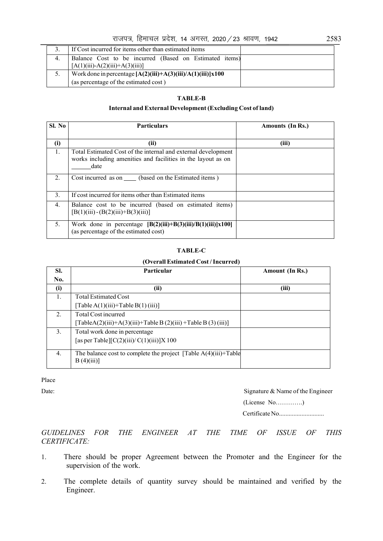राजपत्र, हिमाचल प्रदेश, 14 अगस्त, 2020 / 23 श्रावण, 1942 2583

|    | If Cost incurred for items other than estimated items                                           |  |
|----|-------------------------------------------------------------------------------------------------|--|
| 4. | Balance Cost to be incurred (Based on Estimated items)<br>$[A(1)(iii) - A(2)(iii) + A(3)(iii)]$ |  |
|    | Work done in percentage $[A(2)(iii)+A(3)(iii)/A(1)(iii)]x100$                                   |  |
|    | (as percentage of the estimated cost)                                                           |  |

#### **TABLE-B**

#### **Internal and External Development (Excluding Cost of land)**

| Sl. No           | <b>Particulars</b>                                                                                                                    | <b>Amounts (In Rs.)</b> |
|------------------|---------------------------------------------------------------------------------------------------------------------------------------|-------------------------|
|                  |                                                                                                                                       |                         |
| (i)              | (ii)                                                                                                                                  | (iii)                   |
| 1.               | Total Estimated Cost of the internal and external development<br>works including amenities and facilities in the layout as on<br>date |                         |
| $\overline{2}$ . | Cost incurred as on ______ (based on the Estimated items)                                                                             |                         |
| 3.               | If cost incurred for items other than Estimated items                                                                                 |                         |
| 4.               | Balance cost to be incurred (based on estimated items)<br>$[B(1)(iii) - (B(2)(iii) + B(3)(iii)]$                                      |                         |
| 5 <sub>1</sub>   | Work done in percentage $[B(2)(iii)+B(3)(iii)/B(1)(iii)]\times100$<br>(as percentage of the estimated cost)                           |                         |

#### **TABLE-C**

#### **(Overall Estimated Cost / Incurred)**

| SI.              | Particular                                                                      | Amount (In Rs.) |
|------------------|---------------------------------------------------------------------------------|-----------------|
| No.              |                                                                                 |                 |
| (i)              | (ii)                                                                            | (iii)           |
| 1.               | <b>Total Estimated Cost</b>                                                     |                 |
|                  | [Table A(1)(iii)+Table B(1)(iii)]                                               |                 |
| $\overline{2}$ . | <b>Total Cost incurred</b>                                                      |                 |
|                  | [TableA(2)(iii)+A(3)(iii)+Table B(2)(iii)+Table B(3)(iii)]                      |                 |
| 3.               | Total work done in percentage                                                   |                 |
|                  | [as per Table][ $C(2)(iii)/C(1)(iii)$ ]X 100                                    |                 |
| $\overline{4}$ . | The balance cost to complete the project [Table $A(4)(iii)$ +Table<br>B(4)(iii) |                 |

Place

Date: Signature & Name of the Engineer

(License No………….)

Certificate No............................

#### *GUIDELINES FOR THE ENGINEER AT THE TIME OF ISSUE OF THIS CERTIFICATE:*

- 1. There should be proper Agreement between the Promoter and the Engineer for the supervision of the work.
- 2. The complete details of quantity survey should be maintained and verified by the Engineer.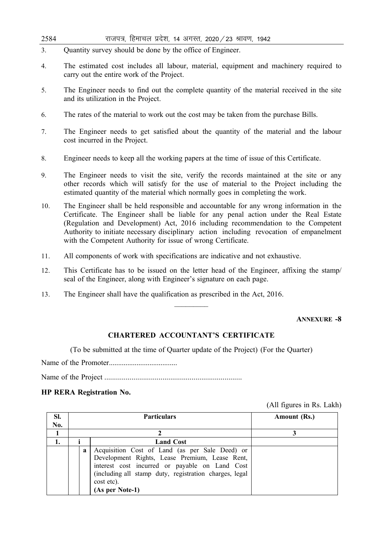- $2584$   $7584$  राजपत्र, हिमाचल प्रदेश, 14 अगस्त, 2020  $\angle$  23 श्रावण, 1942
- 3. Quantity survey should be done by the office of Engineer.
- 4. The estimated cost includes all labour, material, equipment and machinery required to carry out the entire work of the Project.
- 5. The Engineer needs to find out the complete quantity of the material received in the site and its utilization in the Project.
- 6. The rates of the material to work out the cost may be taken from the purchase Bills.
- 7. The Engineer needs to get satisfied about the quantity of the material and the labour cost incurred in the Project.
- 8. Engineer needs to keep all the working papers at the time of issue of this Certificate.
- 9. The Engineer needs to visit the site, verify the records maintained at the site or any other records which will satisfy for the use of material to the Project including the estimated quantity of the material which normally goes in completing the work.
- 10. The Engineer shall be held responsible and accountable for any wrong information in the Certificate. The Engineer shall be liable for any penal action under the Real Estate (Regulation and Development) Act, 2016 including recommendation to the Competent Authority to initiate necessary disciplinary action including revocation of empanelment with the Competent Authority for issue of wrong Certificate.
- 11. All components of work with specifications are indicative and not exhaustive.
- 12. This Certificate has to be issued on the letter head of the Engineer, affixing the stamp/ seal of the Engineer, along with Engineer's signature on each page.

 $\frac{1}{2}$ 

13. The Engineer shall have the qualification as prescribed in the Act, 2016.

**ANNEXURE -8**

#### **CHARTERED ACCOUNTANT'S CERTIFICATE**

(To be submitted at the time of Quarter update of the Project) (For the Quarter)

Name of the Promoter.....................................

Name of the Project .......................................................................

#### **HP RERA Registration No.**

(All figures in Rs. Lakh)

| Sl.<br>No. | <b>Particulars</b>                                                                                                                                                                                                                                 | Amount (Rs.) |
|------------|----------------------------------------------------------------------------------------------------------------------------------------------------------------------------------------------------------------------------------------------------|--------------|
|            |                                                                                                                                                                                                                                                    |              |
|            | <b>Land Cost</b>                                                                                                                                                                                                                                   |              |
|            | Acquisition Cost of Land (as per Sale Deed) or<br>a<br>Development Rights, Lease Premium, Lease Rent,<br>interest cost incurred or payable on Land Cost<br>(including all stamp duty, registration charges, legal<br>cost etc).<br>(As per Note-1) |              |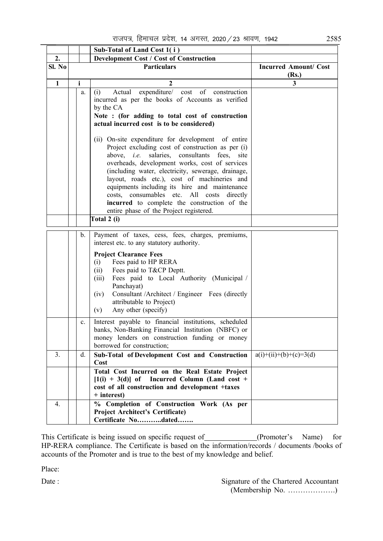|              |             | Sub-Total of Land Cost 1(i)                                                                                                                                                                                                                                                                                                                                                                                                                                                                                             |                                       |
|--------------|-------------|-------------------------------------------------------------------------------------------------------------------------------------------------------------------------------------------------------------------------------------------------------------------------------------------------------------------------------------------------------------------------------------------------------------------------------------------------------------------------------------------------------------------------|---------------------------------------|
| 2.           |             | <b>Development Cost / Cost of Construction</b>                                                                                                                                                                                                                                                                                                                                                                                                                                                                          |                                       |
| Sl. No       |             | <b>Particulars</b>                                                                                                                                                                                                                                                                                                                                                                                                                                                                                                      | <b>Incurred Amount/ Cost</b><br>(Rs.) |
| $\mathbf{1}$ | i           | 2                                                                                                                                                                                                                                                                                                                                                                                                                                                                                                                       | 3                                     |
|              | a.          | expenditure/ cost of construction<br>Actual<br>(i)<br>incurred as per the books of Accounts as verified<br>by the CA<br>Note : (for adding to total cost of construction<br>actual incurred cost is to be considered)                                                                                                                                                                                                                                                                                                   |                                       |
|              |             | (ii) On-site expenditure for development of entire<br>Project excluding cost of construction as per (i)<br>salaries,<br>consultants<br>above, $i.e.$<br>fees,<br>site<br>overheads, development works, cost of services<br>(including water, electricity, sewerage, drainage,<br>layout, roads etc.), cost of machineries and<br>equipments including its hire and maintenance<br>costs, consumables etc. All costs directly<br>incurred to complete the construction of the<br>entire phase of the Project registered. |                                       |
|              |             | Total 2 (i)                                                                                                                                                                                                                                                                                                                                                                                                                                                                                                             |                                       |
|              | b.          | Payment of taxes, cess, fees, charges, premiums,<br>interest etc. to any statutory authority.<br><b>Project Clearance Fees</b><br>Fees paid to HP RERA<br>(i)<br>Fees paid to T&CP Deptt.<br>(ii)<br>Fees paid to Local Authority (Municipal /<br>(iii)<br>Panchayat)<br>Consultant /Architect / Engineer Fees (directly<br>(iv)<br>attributable to Project)<br>Any other (specify)<br>(v)                                                                                                                              |                                       |
|              | $c_{\cdot}$ | Interest payable to financial institutions, scheduled<br>banks, Non-Banking Financial Institution (NBFC) or<br>money lenders on construction funding or money<br>borrowed for construction;                                                                                                                                                                                                                                                                                                                             |                                       |
| 3.           | d.          | Sub-Total of Development Cost and Construction<br>Cost                                                                                                                                                                                                                                                                                                                                                                                                                                                                  | $a(i)+(ii)+(b)+(c)=3(d)$              |
|              |             | Total Cost Incurred on the Real Estate Project<br>$[1(i) + 3(d)]$ of<br>Incurred Column (Land cost +<br>cost of all construction and development +taxes<br>+ interest)                                                                                                                                                                                                                                                                                                                                                  |                                       |
| 4.           |             | % Completion of Construction Work (As per<br><b>Project Architect's Certificate)</b><br>Certificate Nodated                                                                                                                                                                                                                                                                                                                                                                                                             |                                       |

This Certificate is being issued on specific request of (Promoter's Name) for HP-RERA compliance. The Certificate is based on the information/records / documents /books of accounts of the Promoter and is true to the best of my knowledge and belief.

Place:

Date : Signature of the Chartered Accountant (Membership No. ……………….)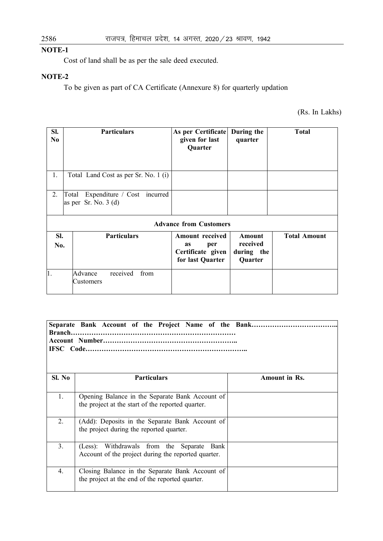# **NOTE-1**

Cost of land shall be as per the sale deed executed.

#### **NOTE-2**

To be given as part of CA Certificate (Annexure 8) for quarterly updation

(Rs. In Lakhs)

| Sl.<br>N <sub>0</sub> | <b>Particulars</b>                                          | As per Certificate<br>given for last<br>Quarter                                     | During the<br>quarter                              | <b>Total</b>        |
|-----------------------|-------------------------------------------------------------|-------------------------------------------------------------------------------------|----------------------------------------------------|---------------------|
| 1.                    | Total Land Cost as per Sr. No. 1 (i)                        |                                                                                     |                                                    |                     |
| 2.                    | Total Expenditure / Cost incurred<br>as per Sr. No. $3$ (d) | <b>Advance from Customers</b>                                                       |                                                    |                     |
| SI.<br>No.            | <b>Particulars</b>                                          | <b>Amount received</b><br>per<br><b>as</b><br>Certificate given<br>for last Quarter | <b>Amount</b><br>received<br>during the<br>Quarter | <b>Total Amount</b> |
| 1.                    | received<br>from<br>Advance<br>Customers                    |                                                                                     |                                                    |                     |

**Separate Bank Account of the Project Name of the Bank……………………………….. Branch……………………………………………………………… Account Number………………………………………………….. IFSC Code……………………………………………………………..**

| Sl. No               | <b>Particulars</b>                                                                                   | <b>Amount in Rs.</b> |
|----------------------|------------------------------------------------------------------------------------------------------|----------------------|
| $\mathbf{1}_{\cdot}$ | Opening Balance in the Separate Bank Account of<br>the project at the start of the reported quarter. |                      |
| 2.                   | (Add): Deposits in the Separate Bank Account of<br>the project during the reported quarter.          |                      |
| $\overline{3}$ .     | (Less): Withdrawals from the Separate<br>Bank<br>Account of the project during the reported quarter. |                      |
| $\overline{4}$ .     | Closing Balance in the Separate Bank Account of<br>the project at the end of the reported quarter.   |                      |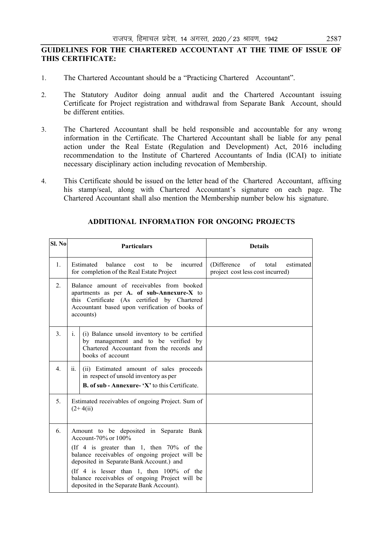# **GUIDELINES FOR THE CHARTERED ACCOUNTANT AT THE TIME OF ISSUE OF THIS CERTIFICATE:**

- 1. The Chartered Accountant should be a "Practicing Chartered Accountant".
- 2. The Statutory Auditor doing annual audit and the Chartered Accountant issuing Certificate for Project registration and withdrawal from Separate Bank Account, should be different entities.
- 3. The Chartered Accountant shall be held responsible and accountable for any wrong information in the Certificate. The Chartered Accountant shall be liable for any penal action under the Real Estate (Regulation and Development) Act, 2016 including recommendation to the Institute of Chartered Accountants of India (ICAI) to initiate necessary disciplinary action including revocation of Membership.
- 4. This Certificate should be issued on the letter head of the Chartered Accountant, affixing his stamp/seal, along with Chartered Accountant's signature on each page. The Chartered Accountant shall also mention the Membership number below his signature.

| Sl. No           |     | <b>Particulars</b>                                                                                                                                                                                                                                                                                                                                              | <b>Details</b>                                                               |
|------------------|-----|-----------------------------------------------------------------------------------------------------------------------------------------------------------------------------------------------------------------------------------------------------------------------------------------------------------------------------------------------------------------|------------------------------------------------------------------------------|
| $\mathbf{1}$ .   |     | Estimated<br>balance<br>incurred<br>be<br>cost<br>to<br>for completion of the Real Estate Project                                                                                                                                                                                                                                                               | (Difference)<br>of<br>total<br>estimated<br>project cost less cost incurred) |
| 2 <sub>1</sub>   |     | Balance amount of receivables from booked<br>apartments as per A. of sub-Annexure-X to<br>this Certificate (As certified by Chartered<br>Accountant based upon verification of books of<br>accounts)                                                                                                                                                            |                                                                              |
| 3.               | i.  | (i) Balance unsold inventory to be certified<br>by management and to be verified by<br>Chartered Accountant from the records and<br>books of account                                                                                                                                                                                                            |                                                                              |
| $\overline{4}$ . | 11. | (ii) Estimated amount of sales proceeds<br>in respect of unsold inventory as per<br><b>B.</b> of sub - Annexure- $'X'$ to this Certificate.                                                                                                                                                                                                                     |                                                                              |
| 5.               |     | Estimated receivables of ongoing Project. Sum of<br>$(2+4(ii)$                                                                                                                                                                                                                                                                                                  |                                                                              |
| 6.               |     | Amount to be deposited in Separate Bank<br>Account- $70\%$ or $100\%$<br>(If 4 is greater than 1, then $70\%$ of the<br>balance receivables of ongoing project will be<br>deposited in Separate Bank Account.) and<br>(If 4 is lesser than 1, then $100\%$ of the<br>balance receivables of ongoing Project will be<br>deposited in the Separate Bank Account). |                                                                              |

# **ADDITIONAL INFORMATION FOR ONGOING PROJECTS**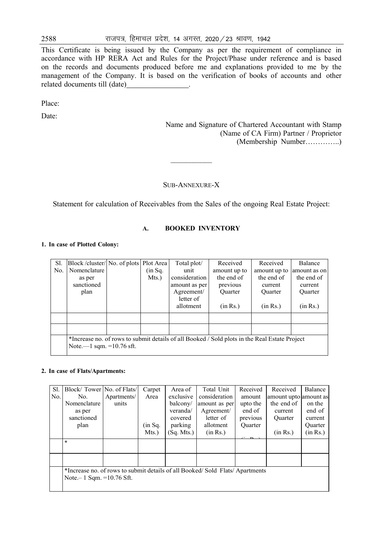This Certificate is being issued by the Company as per the requirement of compliance in accordance with HP RERA Act and Rules for the Project/Phase under reference and is based on the records and documents produced before me and explanations provided to me by the management of the Company. It is based on the verification of books of accounts and other related documents till (date)

Place:

Date:

Name and Signature of Chartered Accountant with Stamp (Name of CA Firm) Partner / Proprietor (Membership Number…………..)

#### SUB-ANNEXURE-X

 $\frac{1}{2}$ 

Statement for calculation of Receivables from the Sales of the ongoing Real Estate Project:

# **A. BOOKED INVENTORY**

#### **1. In case of Plotted Colony:**

| Sl. | Block/cluster/ No. of plots   Plot Area                                                       |  |         | Total plot/   | Received     | Received     | Balance      |  |  |
|-----|-----------------------------------------------------------------------------------------------|--|---------|---------------|--------------|--------------|--------------|--|--|
| No. | Nomenclature                                                                                  |  | (in Sq. | unit          | amount up to | amount up to | amount as on |  |  |
|     | as per                                                                                        |  | Mts.    | consideration | the end of   | the end of   | the end of   |  |  |
|     | sanctioned                                                                                    |  |         | amount as per | previous     | current      | current      |  |  |
|     | plan                                                                                          |  |         | Agreement/    | Quarter      | Quarter      | Quarter      |  |  |
|     |                                                                                               |  |         | letter of     |              |              |              |  |  |
|     |                                                                                               |  |         | allotment     | (in Rs.)     | (in Rs.)     | (in Rs.)     |  |  |
|     |                                                                                               |  |         |               |              |              |              |  |  |
|     |                                                                                               |  |         |               |              |              |              |  |  |
|     |                                                                                               |  |         |               |              |              |              |  |  |
|     | *Increase no. of rows to submit details of all Booked / Sold plots in the Real Estate Project |  |         |               |              |              |              |  |  |
|     | Note.— $1$ sqm. = 10.76 sft.                                                                  |  |         |               |              |              |              |  |  |

#### **2. In case of Flats/Apartments:**

| Sl. | Block/Tower No. of Flats/    |             | Carpet  | Area of    | Total Unit                                                                  | Received     | Received              | Balance  |
|-----|------------------------------|-------------|---------|------------|-----------------------------------------------------------------------------|--------------|-----------------------|----------|
| No. | No.                          | Apartments/ | Area    | exclusive  | consideration                                                               | amount       | amount upto amount as |          |
|     | Nomenclature                 | units       |         | balcony/   | amount as per                                                               | upto the     | the end of            | on the   |
|     | as per                       |             |         | veranda/   | Agreement/                                                                  | end of       | current               | end of   |
|     | sanctioned                   |             |         | covered    | letter of                                                                   | previous     | Quarter               | current  |
|     | plan                         |             | (in Sq. | parking    | allotment                                                                   | Quarter      |                       | Quarter  |
|     |                              |             | Mts.)   | (Sq. Mts.) | (in Rs.)                                                                    | $\mathbf{r}$ | (in Rs.)              | (in Rs.) |
|     | $\ast$                       |             |         |            |                                                                             |              |                       |          |
|     |                              |             |         |            |                                                                             |              |                       |          |
|     |                              |             |         |            |                                                                             |              |                       |          |
|     |                              |             |         |            |                                                                             |              |                       |          |
|     |                              |             |         |            | *Increase no. of rows to submit details of all Booked/Sold Flats/Apartments |              |                       |          |
|     | Note $-1$ Sqm. $=10.76$ Sft. |             |         |            |                                                                             |              |                       |          |
|     |                              |             |         |            |                                                                             |              |                       |          |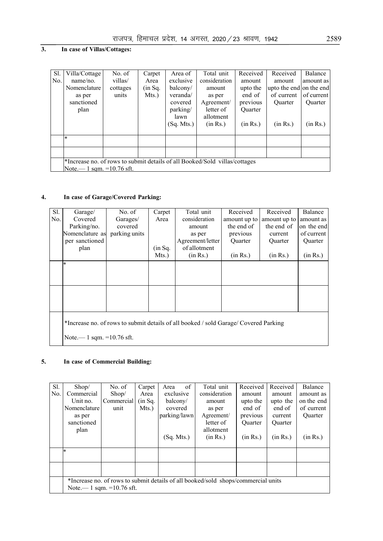# **3. In case of Villas/Cottages:**

| Sl.<br>No. | Villa/Cottage<br>name/no.<br>Nomenclature                                                                  | No. of<br>villas/<br>cottages | Carpet<br>Area<br>(in Sq. | Area of<br>exclusive<br>balcony/        | Total unit<br>consideration<br>amount          | Received<br>amount<br>upto the       | Received<br>amount<br>upto the end on the end | <b>Balance</b><br>lamount asl |
|------------|------------------------------------------------------------------------------------------------------------|-------------------------------|---------------------------|-----------------------------------------|------------------------------------------------|--------------------------------------|-----------------------------------------------|-------------------------------|
|            | as per<br>sanctioned<br>plan                                                                               | units                         | Mts.                      | veranda/<br>covered<br>parking/<br>lawn | as per<br>Agreement/<br>letter of<br>allotment | end of<br>previous<br><b>Ouarter</b> | of current<br><b>Ouarter</b>                  | of current<br><b>Ouarter</b>  |
|            |                                                                                                            |                               |                           | (Sq. Mts.)                              | (in Rs.)                                       | (in Rs.)                             | (in Rs.)                                      | (in Rs.)                      |
|            | $\ast$                                                                                                     |                               |                           |                                         |                                                |                                      |                                               |                               |
|            |                                                                                                            |                               |                           |                                         |                                                |                                      |                                               |                               |
|            | *Increase no. of rows to submit details of all Booked/Sold villas/cottages<br>Note.— 1 sqm. = $10.76$ sft. |                               |                           |                                         |                                                |                                      |                                               |                               |

# **4. In case of Garage/Covered Parking:**

| Sl. | Garage/                                                                              | No. of        | Carpet  | Total unit       | Received     | Received     | Balance    |  |  |
|-----|--------------------------------------------------------------------------------------|---------------|---------|------------------|--------------|--------------|------------|--|--|
| No. | Covered                                                                              | Garages/      | Area    | consideration    | amount up to | amount up to | amount as  |  |  |
|     | Parking/no.                                                                          | covered       |         | amount           | the end of   | the end of   | on the end |  |  |
|     | Nomenclature as                                                                      | parking units |         | as per           | previous     | current      | of current |  |  |
|     | per sanctioned                                                                       |               |         | Agreement/letter | Quarter      | Quarter      | Quarter    |  |  |
|     | plan                                                                                 |               | (in Sq. | of allotment     |              |              |            |  |  |
|     |                                                                                      |               | Mts.    | (in Rs.)         | (in Rs.)     | (in Rs.)     | (in Rs.)   |  |  |
|     | $\ast$                                                                               |               |         |                  |              |              |            |  |  |
|     |                                                                                      |               |         |                  |              |              |            |  |  |
|     |                                                                                      |               |         |                  |              |              |            |  |  |
|     |                                                                                      |               |         |                  |              |              |            |  |  |
|     |                                                                                      |               |         |                  |              |              |            |  |  |
|     |                                                                                      |               |         |                  |              |              |            |  |  |
|     |                                                                                      |               |         |                  |              |              |            |  |  |
|     | *Increase no. of rows to submit details of all booked / sold Garage/ Covered Parking |               |         |                  |              |              |            |  |  |
|     |                                                                                      |               |         |                  |              |              |            |  |  |
|     | Note.—1 sqm. = $10.76$ sft.                                                          |               |         |                  |              |              |            |  |  |
|     |                                                                                      |               |         |                  |              |              |            |  |  |

#### **5. In case of Commercial Building:**

| Sl. | $\mathrm{Shop}/\mathcal{E}$ | No. of                       | Carpet  | Area         | of | Total unit                                                                        | Received | Received       | Balance    |
|-----|-----------------------------|------------------------------|---------|--------------|----|-----------------------------------------------------------------------------------|----------|----------------|------------|
| No. | Commercial                  | $\mathrm{Shop}/\mathrm{Sht}$ | Area    | exclusive    |    | consideration                                                                     | amount   | amount         | amount as  |
|     | Unit no.                    | Commercial                   | (in Sq. | balcony/     |    | amount                                                                            | upto the | upto the       | on the end |
|     | Nomenclature                | unit                         | Mts.    | covered      |    | as per                                                                            | end of   | end of         | of current |
|     | as per                      |                              |         | parking/lawn |    | Agreement/                                                                        | previous | current        | Quarter    |
|     | sanctioned                  |                              |         |              |    | letter of                                                                         | Ouarter  | <b>Ouarter</b> |            |
|     | plan                        |                              |         |              |    | allotment                                                                         |          |                |            |
|     |                             |                              |         | (Sq. Mts.)   |    | (in Rs.)                                                                          | (in Rs.) | (in Rs.)       | (in Rs.)   |
|     |                             |                              |         |              |    |                                                                                   |          |                |            |
|     | $\ast$                      |                              |         |              |    |                                                                                   |          |                |            |
|     |                             |                              |         |              |    |                                                                                   |          |                |            |
|     |                             |                              |         |              |    |                                                                                   |          |                |            |
|     |                             |                              |         |              |    |                                                                                   |          |                |            |
|     |                             |                              |         |              |    | *Increase no. of rows to submit details of all booked/sold shops/commercial units |          |                |            |
|     |                             | Note.— 1 sqm. = $10.76$ sft. |         |              |    |                                                                                   |          |                |            |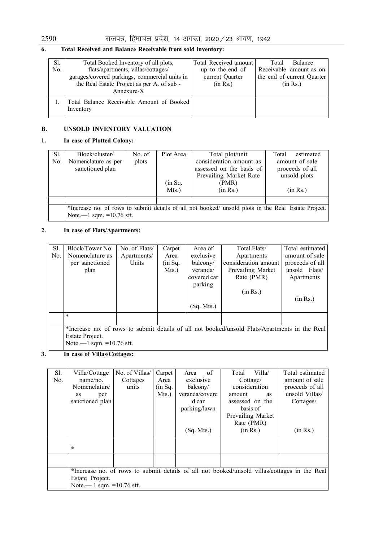# **6. Total Received and Balance Receivable from sold inventory:**

| Sl. | Total Booked Inventory of all plots,          | Total Received amount | Total<br><b>Balance</b>    |
|-----|-----------------------------------------------|-----------------------|----------------------------|
| No. | flats/apartments, villas/cottages/            | up to the end of      | Receivable amount as on    |
|     | garages/covered parkings, commercial units in | current Quarter       | the end of current Quarter |
|     | the Real Estate Project as per A. of sub -    | (in Rs.)              | (in Rs.)                   |
|     | $Annexure-X$                                  |                       |                            |
|     | Total Balance Receivable Amount of Booked     |                       |                            |
|     | Inventory                                     |                       |                            |
|     |                                               |                       |                            |

#### **B. UNSOLD INVENTORY VALUATION**

#### **1. In case of Plotted Colony:**

| Sl.<br>No. | Block/cluster/<br>Nomenclature as per<br>sanctioned plan | No. of<br>plots | Plot Area<br>(in Sq.<br>Mts. | Total plot/unit<br>consideration amount as<br>assessed on the basis of<br>Prevailing Market Rate<br>(PMR)<br>(in Rs.) | estimated<br>Total<br>amount of sale<br>proceeds of all<br>unsold plots<br>(in Rs.) |
|------------|----------------------------------------------------------|-----------------|------------------------------|-----------------------------------------------------------------------------------------------------------------------|-------------------------------------------------------------------------------------|
|            | Note.—1 sqm. $=10.76$ sft.                               |                 |                              | *Increase no. of rows to submit details of all not booked/ unsold plots in the Real Estate Project.                   |                                                                                     |

# **2. In case of Flats/Apartments:**

| Sl.<br>No. | Block/Tower No.<br>Nomenclature as<br>per sanctioned<br>plan | No. of Flats/<br>Apartments/<br>Units | Carpet<br>Area<br>(in Sq.<br>Mts. | Area of<br>exclusive<br>balcony/<br>veranda/<br>covered car<br>parking<br>(Sq. Mts.) | Total Flats/<br>Apartments<br>consideration amount<br>Prevailing Market<br>Rate (PMR)<br>(in Rs.) | Total estimated<br>amount of sale<br>proceeds of all<br>unsold Flats/<br>Apartments<br>(in Rs.) |
|------------|--------------------------------------------------------------|---------------------------------------|-----------------------------------|--------------------------------------------------------------------------------------|---------------------------------------------------------------------------------------------------|-------------------------------------------------------------------------------------------------|
|            | $\star$                                                      |                                       |                                   |                                                                                      |                                                                                                   |                                                                                                 |
|            | Estate Project.<br>Note.—1 sqm. $=10.76$ sft.                |                                       |                                   |                                                                                      | *Increase no. of rows to submit details of all not booked/unsold Flats/Apartments in the Real     |                                                                                                 |

# **3. In case of Villas/Cottages:**

| Sl. | Villa/Cottage                | No. of Villas/ | Carpet | of<br>Area     | Villa/<br>Total                                                                              | Total estimated |                 |
|-----|------------------------------|----------------|--------|----------------|----------------------------------------------------------------------------------------------|-----------------|-----------------|
| No. | $name/no$ .                  | Cottages       | Area   | exclusive      | Cottage/                                                                                     | amount of sale  |                 |
|     | Nomenclature                 | units          |        | (in Sq.        | balcony/                                                                                     | consideration   | proceeds of all |
|     | per<br>as                    |                | Mts.)  | veranda/covere | amount<br><b>as</b>                                                                          | unsold Villas/  |                 |
|     | sanctioned plan              |                |        | d car          | assessed on the                                                                              | Cottages/       |                 |
|     |                              |                |        | parking/lawn   | basis of                                                                                     |                 |                 |
|     |                              |                |        |                | Prevailing Market                                                                            |                 |                 |
|     |                              |                |        |                | Rate (PMR)                                                                                   |                 |                 |
|     |                              |                |        | (Sq. Mts.)     | (in Rs.)                                                                                     | (in Rs.)        |                 |
|     | $\ast$                       |                |        |                |                                                                                              |                 |                 |
|     |                              |                |        |                |                                                                                              |                 |                 |
|     |                              |                |        |                |                                                                                              |                 |                 |
|     |                              |                |        |                | *Increase no. of rows to submit details of all not booked/unsold villas/cottages in the Real |                 |                 |
|     | Estate Project.              |                |        |                |                                                                                              |                 |                 |
|     | Note.— 1 sqm. = $10.76$ sft. |                |        |                |                                                                                              |                 |                 |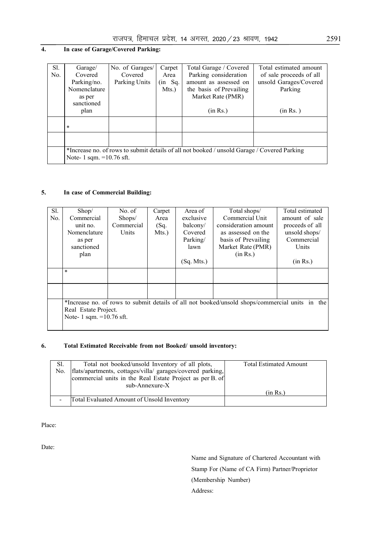# **4. In case of Garage/Covered Parking:**

| Sl.<br>No. | Garage/<br>Covered<br>Parking/no.<br>Nomenclature<br>as per<br>sanctioned                                                 | No. of Garages/<br>Covered<br>Parking Units | Carpet<br>Area<br>(in Sq.<br>Mts. | Total Garage / Covered<br>Parking consideration<br>amount as assessed on<br>the basis of Prevailing<br>Market Rate (PMR) | Total estimated amount<br>of sale proceeds of all<br>unsold Garages/Covered<br>Parking |  |  |  |
|------------|---------------------------------------------------------------------------------------------------------------------------|---------------------------------------------|-----------------------------------|--------------------------------------------------------------------------------------------------------------------------|----------------------------------------------------------------------------------------|--|--|--|
|            | plan                                                                                                                      |                                             |                                   | (in Rs.)                                                                                                                 | (in Rs.)                                                                               |  |  |  |
|            | $\ast$                                                                                                                    |                                             |                                   |                                                                                                                          |                                                                                        |  |  |  |
|            |                                                                                                                           |                                             |                                   |                                                                                                                          |                                                                                        |  |  |  |
|            | *Increase no. of rows to submit details of all not booked / unsold Garage / Covered Parking<br>Note- 1 sqm. $=10.76$ sft. |                                             |                                   |                                                                                                                          |                                                                                        |  |  |  |

#### **5. In case of Commercial Building:**

| Sl. | Show/                      | No. of     | Carpet | Area of    | Total shops/                                                                                   | Total estimated |
|-----|----------------------------|------------|--------|------------|------------------------------------------------------------------------------------------------|-----------------|
| No. | Commercial                 | Shops/     | Area   | exclusive  | Commercial Unit                                                                                | amount of sale  |
|     | unit no.                   | Commercial | (Sq.   | balcony/   | consideration amount                                                                           | proceeds of all |
|     | Nomenclature               | Units      | Mts.   | Covered    | as assessed on the                                                                             | unsold shops/   |
|     | as per                     |            |        | Parking/   | basis of Prevailing                                                                            | Commercial      |
|     | sanctioned                 |            |        | lawn       | Market Rate (PMR)                                                                              | Units           |
|     | plan                       |            |        |            | (in Rs.)                                                                                       |                 |
|     |                            |            |        | (Sq. Mts.) |                                                                                                | (in Rs.)        |
|     | $\ast$                     |            |        |            |                                                                                                |                 |
|     |                            |            |        |            |                                                                                                |                 |
|     |                            |            |        |            |                                                                                                |                 |
|     |                            |            |        |            |                                                                                                |                 |
|     |                            |            |        |            | *Increase no. of rows to submit details of all not booked/unsold shops/commercial units in the |                 |
|     | Real Estate Project.       |            |        |            |                                                                                                |                 |
|     | Note- 1 sqm. $=10.76$ sft. |            |        |            |                                                                                                |                 |
|     |                            |            |        |            |                                                                                                |                 |

#### **6. Total Estimated Receivable from not Booked/ unsold inventory:**

| Sl.                      | Total not booked/unsold Inventory of all plots,            | <b>Total Estimated Amount</b> |
|--------------------------|------------------------------------------------------------|-------------------------------|
| No.                      | flats/apartments, cottages/villa/ garages/covered parking, |                               |
|                          | commercial units in the Real Estate Project as per B. of   |                               |
|                          | $sub-An$ nexure- $X$                                       |                               |
|                          |                                                            | (in Rs.)                      |
| $\overline{\phantom{a}}$ | Total Evaluated Amount of Unsold Inventory                 |                               |
|                          |                                                            |                               |

Place:

Date:

 Name and Signature of Chartered Accountant with Stamp For (Name of CA Firm) Partner/Proprietor (Membership Number) Address: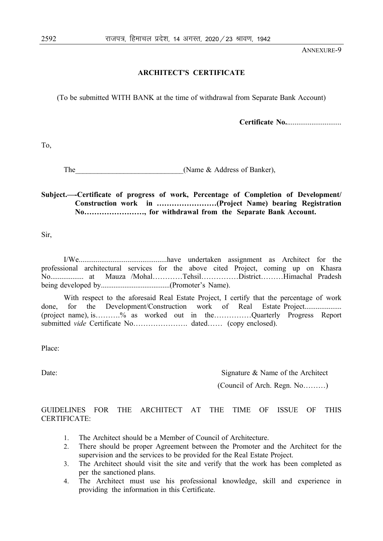ANNEXURE-9

#### **ARCHITECT'S CERTIFICATE**

(To be submitted WITH BANK at the time of withdrawal from Separate Bank Account)

**Certificate No.**.............................

To,

The Communication Communication (Name & Address of Banker),

**Subject.—-Certificate of progress of work, Percentage of Completion of Development/ Construction work in ……………………(Project Name) bearing Registration No……………………, for withdrawal from the Separate Bank Account.**

Sir,

 I/We...............................................have undertaken assignment as Architect for the professional architectural services for the above cited Project, coming up on Khasra No.................. at Mauza /Mohal…………Tehsil……………District………Himachal Pradesh being developed by......................................(Promoter's Name).

 With respect to the aforesaid Real Estate Project, I certify that the percentage of work done, for the Development/Construction work of Real Estate Project..................... (project name), is……….% as worked out in the……………Quarterly Progress Report submitted *vide* Certificate No…………………. dated…… (copy enclosed).

Place:

Date: Signature & Name of the Architect (Council of Arch. Regn. No………)

# GUIDELINES FOR THE ARCHITECT AT THE TIME OF ISSUE OF THIS CERTIFICATE:

- 1. The Architect should be a Member of Council of Architecture.
- 2. There should be proper Agreement between the Promoter and the Architect for the supervision and the services to be provided for the Real Estate Project.
- 3. The Architect should visit the site and verify that the work has been completed as per the sanctioned plans.
- 4. The Architect must use his professional knowledge, skill and experience in providing the information in this Certificate.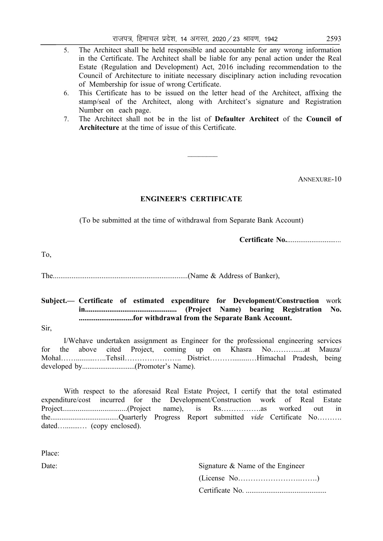- 5. The Architect shall be held responsible and accountable for any wrong information in the Certificate. The Architect shall be liable for any penal action under the Real Estate (Regulation and Development) Act, 2016 including recommendation to the Council of Architecture to initiate necessary disciplinary action including revocation of Membership for issue of wrong Certificate.
- 6. This Certificate has to be issued on the letter head of the Architect, affixing the stamp/seal of the Architect, along with Architect's signature and Registration Number on each page.
- 7. The Architect shall not be in the list of **Defaulter Architect** of the **Council of Architecture** at the time of issue of this Certificate.

 $\mathcal{L}_\text{max}$ 

ANNEXURE-10

#### **ENGINEER'S CERTIFICATE**

(To be submitted at the time of withdrawal from Separate Bank Account)

**Certificate No.**.........................*....* 

To,

The........................................................................(Name & Address of Banker),

**Subject.— Certificate of estimated expenditure for Development/Construction** work **in................................................. (Project Name) bearing Registration No. .............................for withdrawal from the Separate Bank Account.** 

Sir,

I/We have undertaken assignment as Engineer for the professional engineering services for the above cited Project, coming up on Khasra No………......at Mauza/ Mohal……..........…..Tehsil………………….. District……….........…Himachal Pradesh, being developed by.............................(Promoter's Name).

 With respect to the aforesaid Real Estate Project, I certify that the total estimated expenditure/cost incurred for the Development/Construction work of Real Estate Project..................................(Project name), is Rs…………….as worked out in the.....................................Quarterly Progress Report submitted *vide* Certificate No………. dated…........… (copy enclosed).

Place:

| Date: | Signature $\&$ Name of the Engineer |
|-------|-------------------------------------|
|       |                                     |
|       |                                     |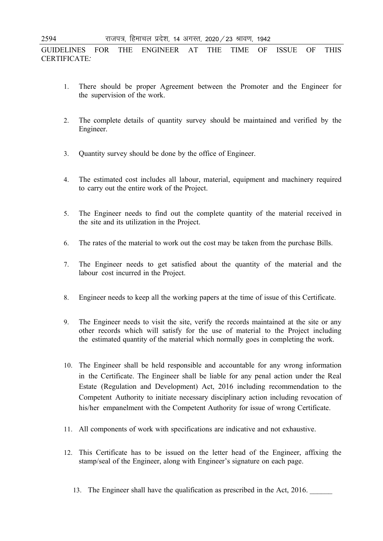GUIDELINES FOR THE ENGINEER AT THE TIME OF ISSUE OF THIS CERTIFICATE*:* 

- 1. There should be proper Agreement between the Promoter and the Engineer for the supervision of the work.
- 2. The complete details of quantity survey should be maintained and verified by the Engineer.
- 3. Quantity survey should be done by the office of Engineer.
- 4. The estimated cost includes all labour, material, equipment and machinery required to carry out the entire work of the Project.
- 5. The Engineer needs to find out the complete quantity of the material received in the site and its utilization in the Project.
- 6. The rates of the material to work out the cost may be taken from the purchase Bills.
- 7. The Engineer needs to get satisfied about the quantity of the material and the labour cost incurred in the Project.
- 8. Engineer needs to keep all the working papers at the time of issue of this Certificate.
- 9. The Engineer needs to visit the site, verify the records maintained at the site or any other records which will satisfy for the use of material to the Project including the estimated quantity of the material which normally goes in completing the work.
- 10. The Engineer shall be held responsible and accountable for any wrong information in the Certificate. The Engineer shall be liable for any penal action under the Real Estate (Regulation and Development) Act, 2016 including recommendation to the Competent Authority to initiate necessary disciplinary action including revocation of his/her empanelment with the Competent Authority for issue of wrong Certificate.
- 11. All components of work with specifications are indicative and not exhaustive.
- 12. This Certificate has to be issued on the letter head of the Engineer, affixing the stamp/seal of the Engineer, along with Engineer's signature on each page.
	- 13. The Engineer shall have the qualification as prescribed in the Act, 2016.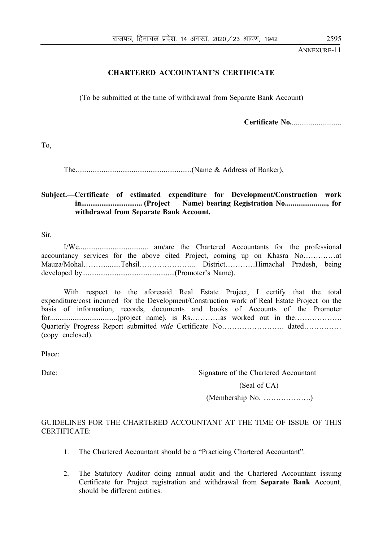ANNEXURE-11

#### **CHARTERED ACCOUNTANT'S CERTIFICATE**

(To be submitted at the time of withdrawal from Separate Bank Account)

**Certificate No.**..........................

To,

The..............................................................(Name & Address of Banker),

#### **Subject.—Certificate of estimated expenditure for Development/Construction work in................................. (Project Name) bearing Registration No......................, for withdrawal from Separate Bank Account.**

Sir,

 With respect to the aforesaid Real Estate Project, I certify that the total expenditure/cost incurred for the Development/Construction work of Real Estate Project on the basis of information, records, documents and books of Accounts of the Promoter for....................................(project name), is Rs…………as worked out in the………………. Quarterly Progress Report submitted *vide* Certificate No……………………. dated…………… (copy enclosed).

Place:

Date: Signature of the Chartered Accountant

(Seal of CA)

(Membership No. ……………….)

# GUIDELINES FOR THE CHARTERED ACCOUNTANT AT THE TIME OF ISSUE OF THIS CERTIFICATE:

- 1. The Chartered Accountant should be a "Practicing Chartered Accountant".
- 2. The Statutory Auditor doing annual audit and the Chartered Accountant issuing Certificate for Project registration and withdrawal from **Separate Bank** Account, should be different entities.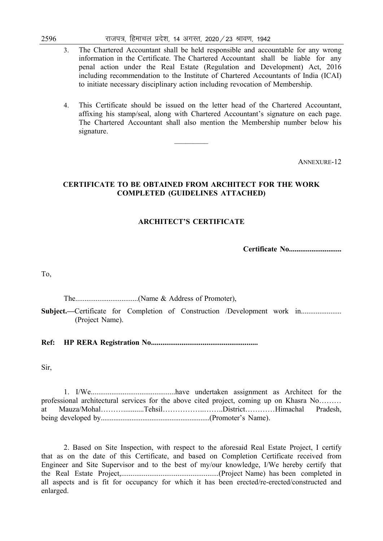| राजपत्र, हिमाचल प्रदेश, 14 अगस्त, 2020 $\!/$ 23 श्रावण, 1942 | 2596 |  |  |  |  |  |
|--------------------------------------------------------------|------|--|--|--|--|--|
|--------------------------------------------------------------|------|--|--|--|--|--|

- 3. The Chartered Accountant shall be held responsible and accountable for any wrong information in the Certificate. The Chartered Accountant shall be liable for any penal action under the Real Estate (Regulation and Development) Act, 2016 including recommendation to the Institute of Chartered Accountants of India (ICAI) to initiate necessary disciplinary action including revocation of Membership.
- 4. This Certificate should be issued on the letter head of the Chartered Accountant, affixing his stamp/seal, along with Chartered Accountant's signature on each page. The Chartered Accountant shall also mention the Membership number below his signature.

ANNEXURE-12

#### **CERTIFICATE TO BE OBTAINED FROM ARCHITECT FOR THE WORK COMPLETED (GUIDELINES ATTACHED)**

 $\mathcal{L}_\text{max}$ 

#### **ARCHITECT'S CERTIFICATE**

**Certificate No............................**

To,

The..................................(Name & Address of Promoter),

Subject.—Certificate for Completion of Construction /Development work in............................ (Project Name).

**Ref: HP RERA Registration No........................................................**

Sir,

 1. I/We.............................................have undertaken assignment as Architect for the professional architectural services for the above cited project, coming up on Khasra No……… at Mauza/Mohal………...........Tehsil……………..……..District…………Himachal Pradesh, being developed by............................................................(Promoter's Name).

 2. Based on Site Inspection, with respect to the aforesaid Real Estate Project, I certify that as on the date of this Certificate, and based on Completion Certificate received from Engineer and Site Supervisor and to the best of my/our knowledge, I/We hereby certify that the Real Estate Project,....................................................(Project Name) has been completed in all aspects and is fit for occupancy for which it has been erected/re-erected/constructed and enlarged.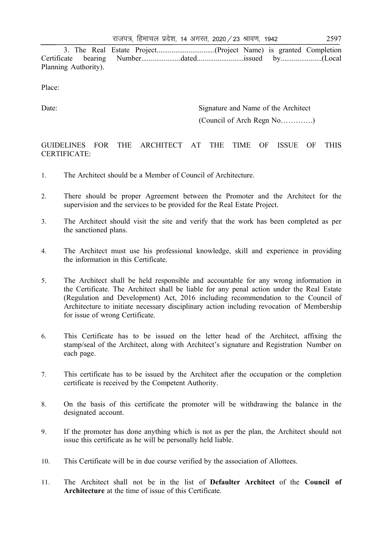3. The Real Estate Project...............................(Project Name) is granted Completion Certificate bearing Number.....................dated.........................issued by......................(Local Planning Authority).

Place:

Date: Signature and Name of the Architect (Council of Arch Regn No………….)

# GUIDELINES FOR THE ARCHITECT AT THE TIME OF ISSUE OF THIS CERTIFICATE:

- 1. The Architect should be a Member of Council of Architecture.
- 2. There should be proper Agreement between the Promoter and the Architect for the supervision and the services to be provided for the Real Estate Project.
- 3. The Architect should visit the site and verify that the work has been completed as per the sanctioned plans.
- 4. The Architect must use his professional knowledge, skill and experience in providing the information in this Certificate.
- 5. The Architect shall be held responsible and accountable for any wrong information in the Certificate. The Architect shall be liable for any penal action under the Real Estate (Regulation and Development) Act, 2016 including recommendation to the Council of Architecture to initiate necessary disciplinary action including revocation of Membership for issue of wrong Certificate.
- 6. This Certificate has to be issued on the letter head of the Architect, affixing the stamp/seal of the Architect, along with Architect's signature and Registration Number on each page.
- 7. This certificate has to be issued by the Architect after the occupation or the completion certificate is received by the Competent Authority.
- 8. On the basis of this certificate the promoter will be withdrawing the balance in the designated account.
- 9. If the promoter has done anything which is not as per the plan, the Architect should not issue this certificate as he will be personally held liable.
- 10. This Certificate will be in due course verified by the association of Allottees.
- 11. The Architect shall not be in the list of **Defaulter Architect** of the **Council of Architecture** at the time of issue of this Certificate.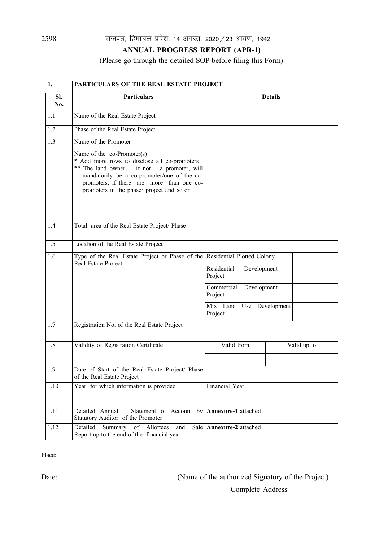# **ANNUAL PROGRESS REPORT (APR-1)**

(Please go through the detailed SOP before filing this Form)

 $\overline{\phantom{a}}$ 

# **1. PARTICULARS OF THE REAL ESTATE PROJECT**

| SI.<br>No.       | <b>Particulars</b>                                                                                                                                                                                                                                                      |                                                                                                                      | <b>Details</b> |
|------------------|-------------------------------------------------------------------------------------------------------------------------------------------------------------------------------------------------------------------------------------------------------------------------|----------------------------------------------------------------------------------------------------------------------|----------------|
| 1.1              | Name of the Real Estate Project                                                                                                                                                                                                                                         |                                                                                                                      |                |
| $\overline{1.2}$ | Phase of the Real Estate Project                                                                                                                                                                                                                                        |                                                                                                                      |                |
| 1.3              | Name of the Promoter                                                                                                                                                                                                                                                    |                                                                                                                      |                |
|                  | Name of the co-Promoter(s)<br>* Add more rows to disclose all co-promoters<br>** The land owner,<br>if not<br>a promoter, will<br>mandatorily be a co-promoter/one of the co-<br>promoters, if there are more than one co-<br>promoters in the phase/ project and so on |                                                                                                                      |                |
| 1.4              | Total area of the Real Estate Project/ Phase                                                                                                                                                                                                                            |                                                                                                                      |                |
| 1.5              | Location of the Real Estate Project                                                                                                                                                                                                                                     |                                                                                                                      |                |
| 1.6              | Type of the Real Estate Project or Phase of the Residential Plotted Colony<br>Real Estate Project                                                                                                                                                                       | Residential<br>Development<br>Project<br>Development<br>Commercial<br>Project<br>Mix Land Use Development<br>Project |                |
| 1.7              | Registration No. of the Real Estate Project                                                                                                                                                                                                                             |                                                                                                                      |                |
| 1.8              | Validity of Registration Certificate                                                                                                                                                                                                                                    | Valid from                                                                                                           | Valid up to    |
| 1.9              | Date of Start of the Real Estate Project/ Phase<br>of the Real Estate Project                                                                                                                                                                                           |                                                                                                                      |                |
| 1.10             | Year for which information is provided                                                                                                                                                                                                                                  | Financial Year                                                                                                       |                |
| 1.11             | Statement of Account by <b>Annexure-1</b> attached<br>Detailed Annual<br>Statutory Auditor of the Promoter                                                                                                                                                              |                                                                                                                      |                |
| 1.12             | Detailed<br>Summary<br>of<br>Allottees<br>and<br>Report up to the end of the financial year                                                                                                                                                                             | Sale   Annexure-2 attached                                                                                           |                |

Place:

Date: (Name of the authorized Signatory of the Project) Complete Address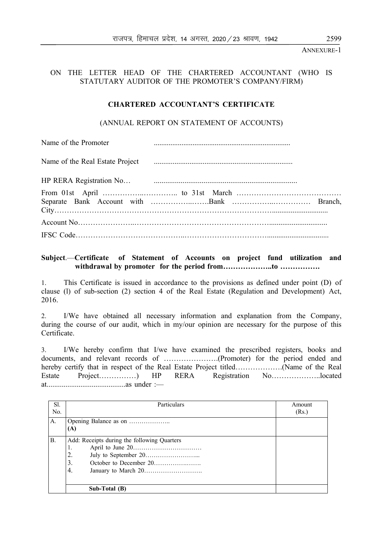ANNEXURE-1

# ON THE LETTER HEAD OF THE CHARTERED ACCOUNTANT (WHO IS STATUTARY AUDITOR OF THE PROMOTER'S COMPANY/FIRM)

# **CHARTERED ACCOUNTANT'S CERTIFICATE**

#### (ANNUAL REPORT ON STATEMENT OF ACCOUNTS)

Name of the Promoter ..........................................................................

Name of the Real Estate Project ..........................................................................

| HP RERA Registration No <b>CONSERVANT RERA REGISTRATION</b> |  |
|-------------------------------------------------------------|--|
|                                                             |  |
|                                                             |  |
|                                                             |  |

#### **Subject**.—**Certificate of Statement of Accounts on project fund utilization and withdrawal by promoter for the period from………………..to …………….**

1. This Certificate is issued in accordance to the provisions as defined under point (D) of clause (l) of sub-section (2) section 4 of the Real Estate (Regulation and Development) Act, 2016.

2. I/We have obtained all necessary information and explanation from the Company, during the course of our audit, which in my/our opinion are necessary for the purpose of this Certificate.

3. I/We hereby confirm that I/we have examined the prescribed registers, books and documents, and relevant records of ………………….(Promoter) for the period ended and hereby certify that in respect of the Real Estate Project titled……………….(Name of the Real Estate Project……………) HP RERA Registration No………………..located at..........................................as under :—

| Sl.       | Particulars                                                                            | Amount |
|-----------|----------------------------------------------------------------------------------------|--------|
| No.       |                                                                                        | (Rs.)  |
| A.        |                                                                                        |        |
|           | (A)                                                                                    |        |
| <b>B.</b> | Add: Receipts during the following Quarters<br>1.<br>2.<br>3.<br>$\mathcal{A}_{\cdot}$ |        |
|           | Sub-Total (B)                                                                          |        |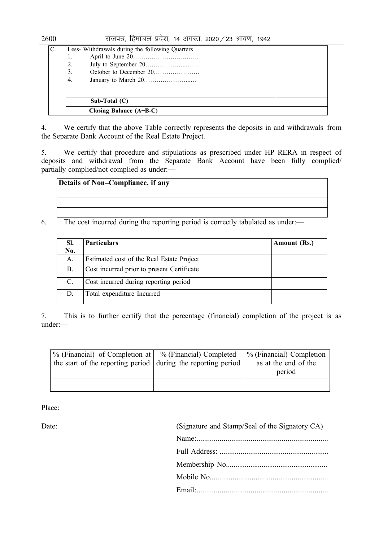$2600$  राजपत्र, हिमाचल प्रदेश, 14 अगस्त, 2020 / 23 श्रावण, 1942

| C. |     | Less-Withdrawals during the following Quarters |  |
|----|-----|------------------------------------------------|--|
|    | -1. |                                                |  |
|    | 2.  |                                                |  |
|    | 3.  |                                                |  |
|    | 4.  |                                                |  |
|    |     |                                                |  |
|    |     | Sub-Total $(C)$                                |  |
|    |     |                                                |  |
|    |     | Closing Balance $(A+B-C)$                      |  |

4. We certify that the above Table correctly represents the deposits in and withdrawals from the Separate Bank Account of the Real Estate Project.

5. We certify that procedure and stipulations as prescribed under HP RERA in respect of deposits and withdrawal from the Separate Bank Account have been fully complied/ partially complied/not complied as under:—

| Details of Non-Compliance, if any |  |  |  |  |  |  |  |  |  |
|-----------------------------------|--|--|--|--|--|--|--|--|--|
|                                   |  |  |  |  |  |  |  |  |  |
|                                   |  |  |  |  |  |  |  |  |  |
|                                   |  |  |  |  |  |  |  |  |  |

6. The cost incurred during the reporting period is correctly tabulated as under:—

| SI.             | <b>Particulars</b>                         | Amount (Rs.) |
|-----------------|--------------------------------------------|--------------|
| No.             |                                            |              |
| A.              | Estimated cost of the Real Estate Project  |              |
| <b>B.</b>       | Cost incurred prior to present Certificate |              |
| $\mathcal{C}$ . | Cost incurred during reporting period      |              |
| D.              | Total expenditure Incurred                 |              |

7. This is to further certify that the percentage (financial) completion of the project is as under:—

| % (Financial) of Completion at   % (Financial) Completed<br>the start of the reporting period during the reporting period | % (Financial) Completion<br>as at the end of the<br>period |
|---------------------------------------------------------------------------------------------------------------------------|------------------------------------------------------------|
|                                                                                                                           |                                                            |

Place:

| (Signature and Stamp/Seal of the Signatory CA) |  |  |  |
|------------------------------------------------|--|--|--|
|                                                |  |  |  |
|                                                |  |  |  |
|                                                |  |  |  |
|                                                |  |  |  |
|                                                |  |  |  |
|                                                |  |  |  |